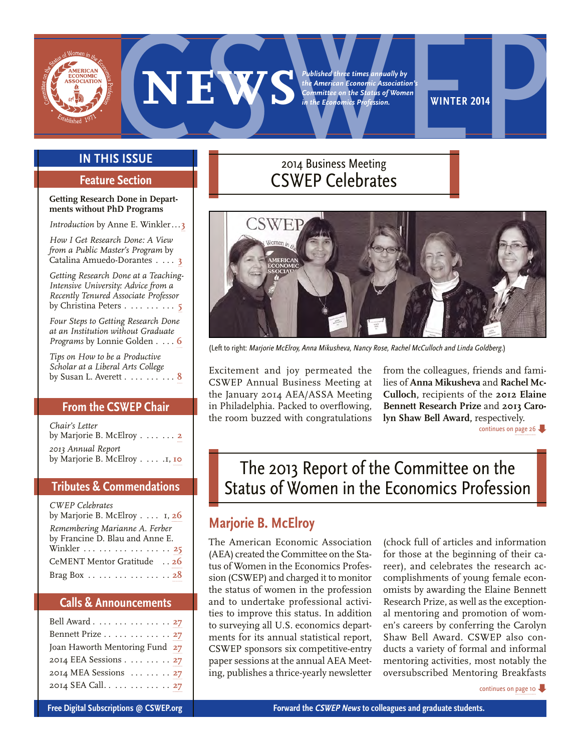

<span id="page-0-0"></span>

# **In This Issue**

# **Feature Section**

#### **Getting Research Done in Departments without PhD Programs**

*Introduction* by Anne E. Winkler...[3](#page-2-0)

*How I Get Research Done: A View from a Public Master's Program* by Catalina Amuedo-Dorantes . . . **[3](#page-2-0)**

*Getting Research Done at a Teaching-Intensive University: Advice from a Recently Tenured Associate Professor* by Christina Peters . . . . . . . **[5](#page-4-0)**

*Four Steps to Getting Research Done at an Institution without Graduate Programs* by Lonnie Golden . . . **[6](#page-5-0)**

*Tips on How to be a Productive Scholar at a Liberal Arts College* by Susan L. Averett . . . . . . . **[8](#page-7-0)**

# **From the CSWEP Chair**

*Chair's Letter*  by Marjorie B. McElroy . . . . . **[2](#page-1-0)** *2013 Annual Report*  by Marjorie B. McElroy . . . . 1, **[10](#page-9-0)**

# **Tributes & Commendations**

| <b>CWEP</b> Celebrates                                   |
|----------------------------------------------------------|
| by Marjorie B. McElroy 1, 26                             |
| Remembering Marianne A. Ferber                           |
| by Francine D. Blau and Anne E.                          |
| Winkler       25                                         |
| CeMENT Mentor Gratitude  26                              |
| Brag Box $\ldots$ $\ldots$ $\ldots$ $\ldots$ $\ldots$ 28 |

# **Calls & Announcements**

| Bell Award 27                  |  |
|--------------------------------|--|
| Bennett Prize 27               |  |
| Joan Haworth Mentoring Fund 27 |  |
| 2014 EEA Sessions 27           |  |
| 2014 MEA Sessions  27          |  |
| 2014 SEA Call 27               |  |

# 2014 Business Meeting CSWEP Celebrates



(Left to right: Marjorie McElroy, Anna Mikusheva, Nancy Rose, Rachel McCulloch and Linda Goldberg.)

Excitement and joy permeated the CSWEP Annual Business Meeting at the January 2014 AEA/ASSA Meeting in Philadelphia. Packed to overflowing, the room buzzed with congratulations

from the colleagues, friends and families of **Anna Mikusheva** and **Rachel Mc-Culloch,** recipients of the **2012 Elaine Bennett Research Prize** and **2013 Carolyn Shaw Bell Award,** respectively.

[continues on page 26](#page-25-0)

# The 2013 Report of the Committee on the Status of Women in the Economics Profession

# **Marjorie B. McElroy**

The American Economic Association (AEA) created the Committee on the Status of Women in the Economics Profession (CSWEP) and charged it to monitor the status of women in the profession and to undertake professional activities to improve this status. In addition to surveying all U.S. economics departments for its annual statistical report, CSWEP sponsors six competitive-entry paper sessions at the annual AEA Meeting, publishes a thrice-yearly newsletter (chock full of articles and information for those at the beginning of their career), and celebrates the research accomplishments of young female economists by awarding the Elaine Bennett Research Prize, as well as the exceptional mentoring and promotion of women's careers by conferring the Carolyn Shaw Bell Award. CSWEP also conducts a variety of formal and informal mentoring activities, most notably the oversubscribed Mentoring Breakfasts

[continues on page 10](#page-9-0)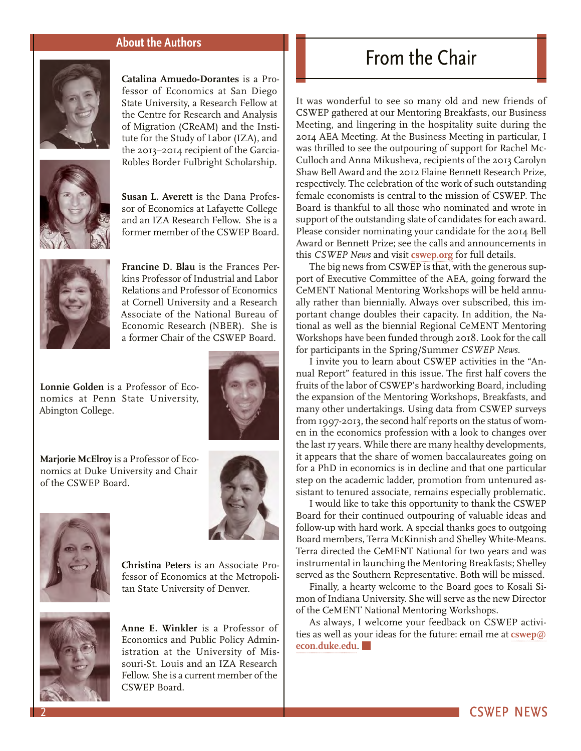### **About the Authors**

<span id="page-1-0"></span>

**Catalina Amuedo-Dorantes** is a Professor of Economics at San Diego State University, a Research Fellow at the Centre for Research and Analysis of Migration (CReAM) and the Institute for the Study of Labor (IZA), and the 2013–2014 recipient of the Garcia-Robles Border Fulbright Scholarship.



**Susan L. Averett** is the Dana Professor of Economics at Lafayette College and an IZA Research Fellow. She is a former member of the CSWEP Board.



**Francine D. Blau** is the Frances Perkins Professor of Industrial and Labor Relations and Professor of Economics at Cornell University and a Research Associate of the National Bureau of Economic Research (NBER). She is a former Chair of the CSWEP Board.

**Lonnie Golden** is a Professor of Economics at Penn State University, Abington College.



**Marjorie McElroy** is a Professor of Economics at Duke University and Chair of the CSWEP Board.





**Christina Peters** is an Associate Professor of Economics at the Metropolitan State University of Denver.



**Anne E. Winkler** is a Professor of Economics and Public Policy Administration at the University of Missouri-St. Louis and an IZA Research Fellow. She is a current member of the CSWEP Board.

# From the Chair

It was wonderful to see so many old and new friends of CSWEP gathered at our Mentoring Breakfasts, our Business Meeting, and lingering in the hospitality suite during the 2014 AEA Meeting. At the Business Meeting in particular, I was thrilled to see the outpouring of support for Rachel Mc-Culloch and Anna Mikusheva, recipients of the 2013 Carolyn Shaw Bell Award and the 2012 Elaine Bennett Research Prize, respectively. The celebration of the work of such outstanding female economists is central to the mission of CSWEP. The Board is thankful to all those who nominated and wrote in support of the outstanding slate of candidates for each award. Please consider nominating your candidate for the 2014 Bell Award or Bennett Prize; see the calls and announcements in this *CSWEP News* and visit **[cswep.org](http://www.aeaweb.org/committees/cswep/awards/)** for full details.

The big news from CSWEP is that, with the generous support of Executive Committee of the AEA, going forward the CeMENT National Mentoring Workshops will be held annually rather than biennially. Always over subscribed, this important change doubles their capacity. In addition, the National as well as the biennial Regional CeMENT Mentoring Workshops have been funded through 2018. Look for the call for participants in the Spring/Summer *CSWEP News.*

I invite you to learn about CSWEP activities in the "Annual Report" featured in this issue. The first half covers the fruits of the labor of CSWEP's hardworking Board, including the expansion of the Mentoring Workshops, Breakfasts, and many other undertakings. Using data from CSWEP surveys from 1997-2013, the second half reports on the status of women in the economics profession with a look to changes over the last 17 years. While there are many healthy developments, it appears that the share of women baccalaureates going on for a PhD in economics is in decline and that one particular step on the academic ladder, promotion from untenured assistant to tenured associate, remains especially problematic.

I would like to take this opportunity to thank the CSWEP Board for their continued outpouring of valuable ideas and follow-up with hard work. A special thanks goes to outgoing Board members, Terra McKinnish and Shelley White-Means. Terra directed the CeMENT National for two years and was instrumental in launching the Mentoring Breakfasts; Shelley served as the Southern Representative. Both will be missed.

Finally, a hearty welcome to the Board goes to Kosali Simon of Indiana University. She will serve as the new Director of the CeMENT National Mentoring Workshops.

As always, I welcome your feedback on CSWEP activities as well as your ideas for the future: email me at **[cswep@](mailto:cswep%40econ.duke.edu?subject=) [econ.duke.edu](mailto:cswep%40econ.duke.edu?subject=)**.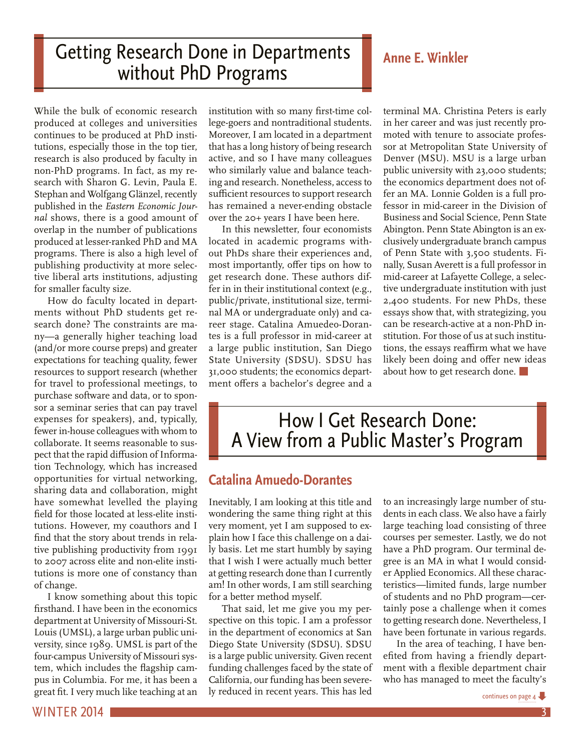# <span id="page-2-0"></span>Getting Research Done in Departments **Anne E. Winkler** without PhD Programs

While the bulk of economic research produced at colleges and universities continues to be produced at PhD institutions, especially those in the top tier, research is also produced by faculty in non-PhD programs. In fact, as my research with Sharon G. Levin, Paula E. Stephan and Wolfgang Glänzel, recently published in the *Eastern Economic Journal* shows, there is a good amount of overlap in the number of publications produced at lesser-ranked PhD and MA programs. There is also a high level of publishing productivity at more selective liberal arts institutions, adjusting for smaller faculty size.

How do faculty located in departments without PhD students get research done? The constraints are many—a generally higher teaching load (and/or more course preps) and greater expectations for teaching quality, fewer resources to support research (whether for travel to professional meetings, to purchase software and data, or to sponsor a seminar series that can pay travel expenses for speakers), and, typically, fewer in-house colleagues with whom to collaborate. It seems reasonable to suspect that the rapid diffusion of Information Technology, which has increased opportunities for virtual networking, sharing data and collaboration, might have somewhat levelled the playing field for those located at less-elite institutions. However, my coauthors and I find that the story about trends in relative publishing productivity from 1991 to 2007 across elite and non-elite institutions is more one of constancy than of change.

I know something about this topic firsthand. I have been in the economics department at University of Missouri-St. Louis (UMSL), a large urban public university, since 1989. UMSL is part of the four-campus University of Missouri system, which includes the flagship campus in Columbia. For me, it has been a great fit. I very much like teaching at an

institution with so many first-time college-goers and nontraditional students. Moreover, I am located in a department that has a long history of being research active, and so I have many colleagues who similarly value and balance teaching and research. Nonetheless, access to sufficient resources to support research has remained a never-ending obstacle over the 20+ years I have been here.

In this newsletter, four economists located in academic programs without PhDs share their experiences and, most importantly, offer tips on how to get research done. These authors differ in in their institutional context (e.g., public/private, institutional size, terminal MA or undergraduate only) and career stage. Catalina Amuedeo-Dorantes is a full professor in mid-career at a large public institution, San Diego State University (SDSU). SDSU has 31,000 students; the economics department offers a bachelor's degree and a terminal MA. Christina Peters is early in her career and was just recently promoted with tenure to associate professor at Metropolitan State University of Denver (MSU). MSU is a large urban public university with 23,000 students; the economics department does not offer an MA. Lonnie Golden is a full professor in mid-career in the Division of Business and Social Science, Penn State Abington. Penn State Abington is an exclusively undergraduate branch campus of Penn State with 3,500 students. Finally, Susan Averett is a full professor in mid-career at Lafayette College, a selective undergraduate institution with just 2,400 students. For new PhDs, these essays show that, with strategizing, you can be research-active at a non-PhD institution. For those of us at such institutions, the essays reaffirm what we have likely been doing and offer new ideas about how to get research done.

# How I Get Research Done: A View from a Public Master's Program

# **Catalina Amuedo-Dorantes**

Inevitably, I am looking at this title and wondering the same thing right at this very moment, yet I am supposed to explain how I face this challenge on a daily basis. Let me start humbly by saying that I wish I were actually much better at getting research done than I currently am! In other words, I am still searching for a better method myself.

That said, let me give you my perspective on this topic. I am a professor in the department of economics at San Diego State University (SDSU). SDSU is a large public university. Given recent funding challenges faced by the state of California, our funding has been severely reduced in recent years. This has led to an increasingly large number of students in each class. We also have a fairly large teaching load consisting of three courses per semester. Lastly, we do not have a PhD program. Our terminal degree is an MA in what I would consider Applied Economics. All these characteristics—limited funds, large number of students and no PhD program—certainly pose a challenge when it comes to getting research done. Nevertheless, I have been fortunate in various regards.

In the area of teaching, I have benefited from having a friendly department with a flexible department chair who has managed to meet the faculty's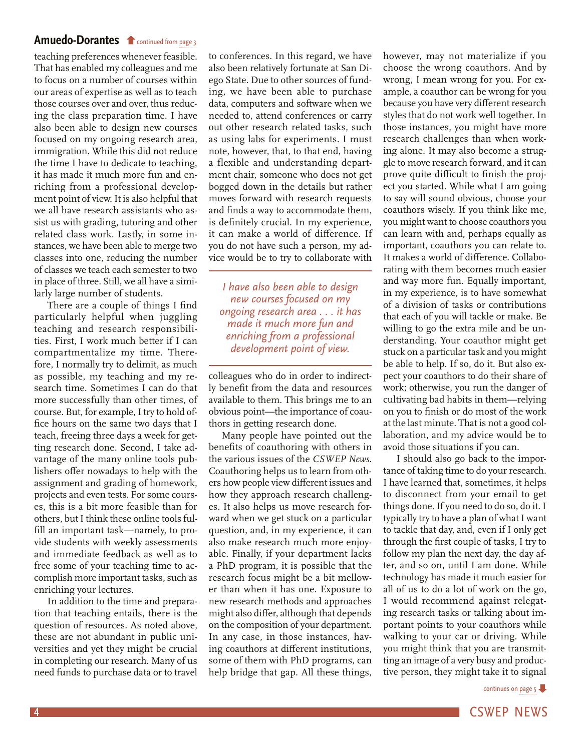# <span id="page-3-0"></span>**[Amuedo-Dorantes](#page-2-0) f** continued from [page 3](#page-2-0)

teaching preferences whenever feasible. That has enabled my colleagues and me to focus on a number of courses within our areas of expertise as well as to teach those courses over and over, thus reducing the class preparation time. I have also been able to design new courses focused on my ongoing research area, immigration. While this did not reduce the time I have to dedicate to teaching, it has made it much more fun and enriching from a professional development point of view. It is also helpful that we all have research assistants who assist us with grading, tutoring and other related class work. Lastly, in some instances, we have been able to merge two classes into one, reducing the number of classes we teach each semester to two in place of three. Still, we all have a similarly large number of students.

There are a couple of things I find particularly helpful when juggling teaching and research responsibilities. First, I work much better if I can compartmentalize my time. Therefore, I normally try to delimit, as much as possible, my teaching and my research time. Sometimes I can do that more successfully than other times, of course. But, for example, I try to hold office hours on the same two days that I teach, freeing three days a week for getting research done. Second, I take advantage of the many online tools publishers offer nowadays to help with the assignment and grading of homework, projects and even tests. For some courses, this is a bit more feasible than for others, but I think these online tools fulfill an important task—namely, to provide students with weekly assessments and immediate feedback as well as to free some of your teaching time to accomplish more important tasks, such as enriching your lectures.

In addition to the time and preparation that teaching entails, there is the question of resources. As noted above, these are not abundant in public universities and yet they might be crucial in completing our research. Many of us need funds to purchase data or to travel

to conferences. In this regard, we have also been relatively fortunate at San Diego State. Due to other sources of funding, we have been able to purchase data, computers and software when we needed to, attend conferences or carry out other research related tasks, such as using labs for experiments. I must note, however, that, to that end, having a flexible and understanding department chair, someone who does not get bogged down in the details but rather moves forward with research requests and finds a way to accommodate them, is definitely crucial. In my experience, it can make a world of difference. If you do not have such a person, my advice would be to try to collaborate with

*I have also been able to design new courses focused on my ongoing research area . . . it has made it much more fun and enriching from a professional development point of view.*

colleagues who do in order to indirectly benefit from the data and resources available to them. This brings me to an obvious point—the importance of coauthors in getting research done.

Many people have pointed out the benefits of coauthoring with others in the various issues of the *CSWEP News.*  Coauthoring helps us to learn from others how people view different issues and how they approach research challenges. It also helps us move research forward when we get stuck on a particular question, and, in my experience, it can also make research much more enjoyable. Finally, if your department lacks a PhD program, it is possible that the research focus might be a bit mellower than when it has one. Exposure to new research methods and approaches might also differ, although that depends on the composition of your department. In any case, in those instances, having coauthors at different institutions, some of them with PhD programs, can help bridge that gap. All these things,

however, may not materialize if you choose the wrong coauthors. And by wrong, I mean wrong for you. For example, a coauthor can be wrong for you because you have very different research styles that do not work well together. In those instances, you might have more research challenges than when working alone. It may also become a struggle to move research forward, and it can prove quite difficult to finish the project you started. While what I am going to say will sound obvious, choose your coauthors wisely. If you think like me, you might want to choose coauthors you can learn with and, perhaps equally as important, coauthors you can relate to. It makes a world of difference. Collaborating with them becomes much easier and way more fun. Equally important, in my experience, is to have somewhat of a division of tasks or contributions that each of you will tackle or make. Be willing to go the extra mile and be understanding. Your coauthor might get stuck on a particular task and you might be able to help. If so, do it. But also expect your coauthors to do their share of work; otherwise, you run the danger of cultivating bad habits in them—relying on you to finish or do most of the work at the last minute. That is not a good collaboration, and my advice would be to avoid those situations if you can.

I should also go back to the importance of taking time to do your research. I have learned that, sometimes, it helps to disconnect from your email to get things done. If you need to do so, do it. I typically try to have a plan of what I want to tackle that day, and, even if I only get through the first couple of tasks, I try to follow my plan the next day, the day after, and so on, until I am done. While technology has made it much easier for all of us to do a lot of work on the go, I would recommend against relegating research tasks or talking about important points to your coauthors while walking to your car or driving. While you might think that you are transmitting an image of a very busy and productive person, they might take it to signal

[continues on page 5](#page-4-0)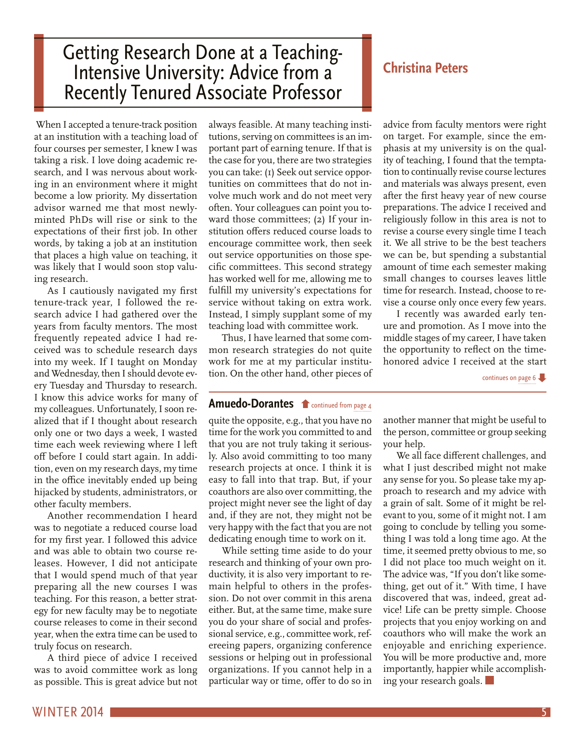# <span id="page-4-0"></span>Getting Research Done at a Teaching-Intensive University: Advice from a<br>Recently Tenured Associate Professor

 When I accepted a tenure-track position at an institution with a teaching load of four courses per semester, I knew I was taking a risk. I love doing academic research, and I was nervous about working in an environment where it might become a low priority. My dissertation advisor warned me that most newlyminted PhDs will rise or sink to the expectations of their first job. In other words, by taking a job at an institution that places a high value on teaching, it was likely that I would soon stop valuing research.

As I cautiously navigated my first tenure-track year, I followed the research advice I had gathered over the years from faculty mentors. The most frequently repeated advice I had received was to schedule research days into my week. If I taught on Monday and Wednesday, then I should devote every Tuesday and Thursday to research. I know this advice works for many of my colleagues. Unfortunately, I soon realized that if I thought about research only one or two days a week, I wasted time each week reviewing where I left off before I could start again. In addition, even on my research days, my time in the office inevitably ended up being hijacked by students, administrators, or other faculty members.

Another recommendation I heard was to negotiate a reduced course load for my first year. I followed this advice and was able to obtain two course releases. However, I did not anticipate that I would spend much of that year preparing all the new courses I was teaching. For this reason, a better strategy for new faculty may be to negotiate course releases to come in their second year, when the extra time can be used to truly focus on research.

A third piece of advice I received was to avoid committee work as long as possible. This is great advice but not

always feasible. At many teaching institutions, serving on committees is an important part of earning tenure. If that is the case for you, there are two strategies you can take: (1) Seek out service opportunities on committees that do not involve much work and do not meet very often. Your colleagues can point you toward those committees; (2) If your institution offers reduced course loads to encourage committee work, then seek out service opportunities on those specific committees. This second strategy has worked well for me, allowing me to fulfill my university's expectations for service without taking on extra work. Instead, I simply supplant some of my teaching load with committee work.

Thus, I have learned that some common research strategies do not quite work for me at my particular institution. On the other hand, other pieces of

# **Christina Peters**

advice from faculty mentors were right on target. For example, since the emphasis at my university is on the quality of teaching, I found that the temptation to continually revise course lectures and materials was always present, even after the first heavy year of new course preparations. The advice I received and religiously follow in this area is not to revise a course every single time I teach it. We all strive to be the best teachers we can be, but spending a substantial amount of time each semester making small changes to courses leaves little time for research. Instead, choose to revise a course only once every few years.

I recently was awarded early tenure and promotion. As I move into the middle stages of my career, I have taken the opportunity to reflect on the timehonored advice I received at the start

continues on [page 6](#page-5-0)

# **[Amuedo-Dorantes](#page-3-0) f** continued from [page 4](#page-3-0)

quite the opposite, e.g., that you have no time for the work you committed to and that you are not truly taking it seriously. Also avoid committing to too many research projects at once. I think it is easy to fall into that trap. But, if your coauthors are also over committing, the project might never see the light of day and, if they are not, they might not be very happy with the fact that you are not dedicating enough time to work on it.

While setting time aside to do your research and thinking of your own productivity, it is also very important to remain helpful to others in the profession. Do not over commit in this arena either. But, at the same time, make sure you do your share of social and professional service, e.g., committee work, refereeing papers, organizing conference sessions or helping out in professional organizations. If you cannot help in a particular way or time, offer to do so in

another manner that might be useful to the person, committee or group seeking your help.

We all face different challenges, and what I just described might not make any sense for you. So please take my approach to research and my advice with a grain of salt. Some of it might be relevant to you, some of it might not. I am going to conclude by telling you something I was told a long time ago. At the time, it seemed pretty obvious to me, so I did not place too much weight on it. The advice was, "If you don't like something, get out of it." With time, I have discovered that was, indeed, great advice! Life can be pretty simple. Choose projects that you enjoy working on and coauthors who will make the work an enjoyable and enriching experience. You will be more productive and, more importantly, happier while accomplishing your research goals.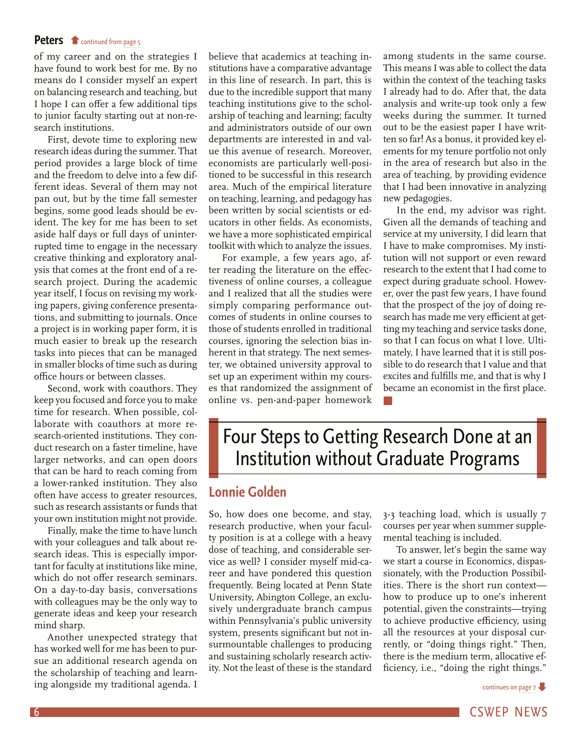### <span id="page-5-0"></span>Peters **f** [continued from page 5](#page-4-0)

of my career and on the strategies I have found to work best for me. By no means do I consider myself an expert on balancing research and teaching, but I hope I can offer a few additional tips to junior faculty starting out at non-research institutions.

First, devote time to exploring new research ideas during the summer. That period provides a large block of time and the freedom to delve into a few different ideas. Several of them may not pan out, but by the time fall semester begins, some good leads should be evident. The key for me has been to set aside half days or full days of uninterrupted time to engage in the necessary creative thinking and exploratory analysis that comes at the front end of a research project. During the academic year itself, I focus on revising my working papers, giving conference presentations, and submitting to journals. Once a project is in working paper form, it is much easier to break up the research tasks into pieces that can be managed in smaller blocks of time such as during office hours or between classes.

Second, work with coauthors. They keep you focused and force you to make time for research. When possible, collaborate with coauthors at more research-oriented institutions. They conduct research on a faster timeline, have larger networks, and can open doors that can be hard to reach coming from a lower-ranked institution. They also often have access to greater resources, such as research assistants or funds that your own institution might not provide.

Finally, make the time to have lunch with your colleagues and talk about research ideas. This is especially important for faculty at institutions like mine, which do not offer research seminars. On a day-to-day basis, conversations with colleagues may be the only way to generate ideas and keep your research mind sharp.

Another unexpected strategy that has worked well for me has been to pursue an additional research agenda on the scholarship of teaching and learning alongside my traditional agenda. I

believe that academics at teaching institutions have a comparative advantage in this line of research. In part, this is due to the incredible support that many teaching institutions give to the scholarship of teaching and learning; faculty and administrators outside of our own departments are interested in and value this avenue of research. Moreover, economists are particularly well-positioned to be successful in this research area. Much of the empirical literature on teaching, learning, and pedagogy has been written by social scientists or educators in other fields. As economists, we have a more sophisticated empirical toolkit with which to analyze the issues.

For example, a few years ago, after reading the literature on the effectiveness of online courses, a colleague and I realized that all the studies were simply comparing performance outcomes of students in online courses to those of students enrolled in traditional courses, ignoring the selection bias inherent in that strategy. The next semester, we obtained university approval to set up an experiment within my courses that randomized the assignment of online vs. pen-and-paper homework among students in the same course. This means I was able to collect the data within the context of the teaching tasks I already had to do. After that, the data analysis and write-up took only a few weeks during the summer. It turned out to be the easiest paper I have written so far! As a bonus, it provided key elements for my tenure portfolio not only in the area of research but also in the area of teaching, by providing evidence that I had been innovative in analyzing new pedagogies.

In the end, my advisor was right. Given all the demands of teaching and service at my university, I did learn that I have to make compromises. My institution will not support or even reward research to the extent that I had come to expect during graduate school. However, over the past few years, I have found that the prospect of the joy of doing research has made me very efficient at getting my teaching and service tasks done, so that I can focus on what I love. Ultimately, I have learned that it is still possible to do research that I value and that excites and fulfills me, and that is why I became an economist in the first place.

# Four Steps to Getting Research Done at an Institution without Graduate Programs

# **Lonnie Golden**

So, how does one become, and stay, research productive, when your faculty position is at a college with a heavy dose of teaching, and considerable service as well? I consider myself mid-career and have pondered this question frequently. Being located at Penn State University, Abington College, an exclusively undergraduate branch campus within Pennsylvania's public university system, presents significant but not insurmountable challenges to producing and sustaining scholarly research activity. Not the least of these is the standard

3-3 teaching load, which is usually 7 courses per year when summer supplemental teaching is included.

To answer, let's begin the same way we start a course in Economics, dispassionately, with the Production Possibilities. There is the short run context how to produce up to one's inherent potential, given the constraints—trying to achieve productive efficiency, using all the resources at your disposal currently, or "doing things right." Then, there is the medium term, allocative efficiency, i.e., "doing the right things."



6 CSWEP NEWS And the contract of the contract of the contract of the contract of the CSWEP NEWS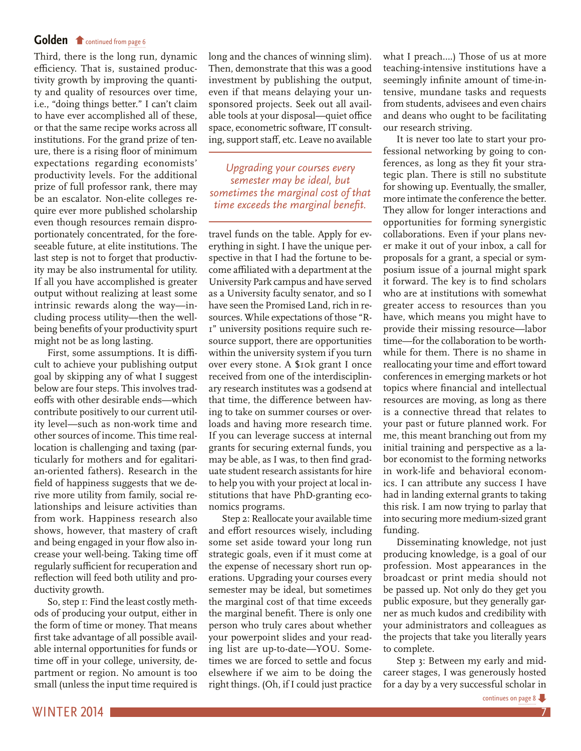# <span id="page-6-0"></span>**Golden f** [continued from page 6](#page-5-0)

Third, there is the long run, dynamic efficiency. That is, sustained productivity growth by improving the quantity and quality of resources over time, i.e., "doing things better." I can't claim to have ever accomplished all of these, or that the same recipe works across all institutions. For the grand prize of tenure, there is a rising floor of minimum expectations regarding economists' productivity levels. For the additional prize of full professor rank, there may be an escalator. Non-elite colleges require ever more published scholarship even though resources remain disproportionately concentrated, for the foreseeable future, at elite institutions. The last step is not to forget that productivity may be also instrumental for utility. If all you have accomplished is greater output without realizing at least some intrinsic rewards along the way—including process utility—then the wellbeing benefits of your productivity spurt might not be as long lasting.

First, some assumptions. It is difficult to achieve your publishing output goal by skipping any of what I suggest below are four steps. This involves tradeoffs with other desirable ends—which contribute positively to our current utility level—such as non-work time and other sources of income. This time reallocation is challenging and taxing (particularly for mothers and for egalitarian-oriented fathers). Research in the field of happiness suggests that we derive more utility from family, social relationships and leisure activities than from work. Happiness research also shows, however, that mastery of craft and being engaged in your flow also increase your well-being. Taking time off regularly sufficient for recuperation and reflection will feed both utility and productivity growth.

So, step 1: Find the least costly methods of producing your output, either in the form of time or money. That means first take advantage of all possible available internal opportunities for funds or time off in your college, university, department or region. No amount is too small (unless the input time required is

long and the chances of winning slim). Then, demonstrate that this was a good investment by publishing the output, even if that means delaying your unsponsored projects. Seek out all available tools at your disposal—quiet office space, econometric software, IT consulting, support staff, etc. Leave no available

*Upgrading your courses every semester may be ideal, but sometimes the marginal cost of that time exceeds the marginal benefit.*

travel funds on the table. Apply for everything in sight. I have the unique perspective in that I had the fortune to become affiliated with a department at the University Park campus and have served as a University faculty senator, and so I have seen the Promised Land, rich in resources. While expectations of those "R-1" university positions require such resource support, there are opportunities within the university system if you turn over every stone. A \$10k grant I once received from one of the interdisciplinary research institutes was a godsend at that time, the difference between having to take on summer courses or overloads and having more research time. If you can leverage success at internal grants for securing external funds, you may be able, as I was, to then find graduate student research assistants for hire to help you with your project at local institutions that have PhD-granting economics programs.

Step 2: Reallocate your available time and effort resources wisely, including some set aside toward your long run strategic goals, even if it must come at the expense of necessary short run operations. Upgrading your courses every semester may be ideal, but sometimes the marginal cost of that time exceeds the marginal benefit. There is only one person who truly cares about whether your powerpoint slides and your reading list are up-to-date—YOU. Sometimes we are forced to settle and focus elsewhere if we aim to be doing the right things. (Oh, if I could just practice

what I preach....) Those of us at more teaching-intensive institutions have a seemingly infinite amount of time-intensive, mundane tasks and requests from students, advisees and even chairs and deans who ought to be facilitating our research striving.

It is never too late to start your professional networking by going to conferences, as long as they fit your strategic plan. There is still no substitute for showing up. Eventually, the smaller, more intimate the conference the better. They allow for longer interactions and opportunities for forming synergistic collaborations. Even if your plans never make it out of your inbox, a call for proposals for a grant, a special or symposium issue of a journal might spark it forward. The key is to find scholars who are at institutions with somewhat greater access to resources than you have, which means you might have to provide their missing resource—labor time—for the collaboration to be worthwhile for them. There is no shame in reallocating your time and effort toward conferences in emerging markets or hot topics where financial and intellectual resources are moving, as long as there is a connective thread that relates to your past or future planned work. For me, this meant branching out from my initial training and perspective as a labor economist to the forming networks in work-life and behavioral economics. I can attribute any success I have had in landing external grants to taking this risk. I am now trying to parlay that into securing more medium-sized grant funding.

Disseminating knowledge, not just producing knowledge, is a goal of our profession. Most appearances in the broadcast or print media should not be passed up. Not only do they get you public exposure, but they generally garner as much kudos and credibility with your administrators and colleagues as the projects that take you literally years to complete.

Step 3: Between my early and midcareer stages, I was generously hosted for a day by a very successful scholar in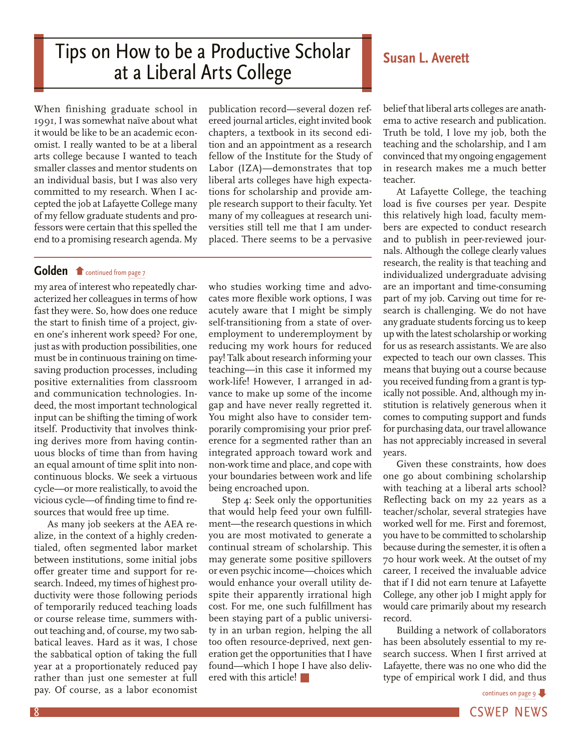# <span id="page-7-0"></span>Tips on How to be a Productive Scholar **Reference Averatt** at a Liberal Arts College

When finishing graduate school in 1991, I was somewhat naïve about what it would be like to be an academic economist. I really wanted to be at a liberal arts college because I wanted to teach smaller classes and mentor students on an individual basis, but I was also very committed to my research. When I accepted the job at Lafayette College many of my fellow graduate students and professors were certain that this spelled the end to a promising research agenda. My

**Golden f** [continued from page 7](#page-6-0)

my area of interest who repeatedly characterized her colleagues in terms of how fast they were. So, how does one reduce the start to finish time of a project, given one's inherent work speed? For one, just as with production possibilities, one must be in continuous training on timesaving production processes, including positive externalities from classroom and communication technologies. Indeed, the most important technological input can be shifting the timing of work itself. Productivity that involves thinking derives more from having continuous blocks of time than from having an equal amount of time split into noncontinuous blocks. We seek a virtuous cycle—or more realistically, to avoid the vicious cycle—of finding time to find resources that would free up time.

As many job seekers at the AEA realize, in the context of a highly credentialed, often segmented labor market between institutions, some initial jobs offer greater time and support for research. Indeed, my times of highest productivity were those following periods of temporarily reduced teaching loads or course release time, summers without teaching and, of course, my two sabbatical leaves. Hard as it was, I chose the sabbatical option of taking the full year at a proportionately reduced pay rather than just one semester at full pay. Of course, as a labor economist

publication record—several dozen refereed journal articles, eight invited book chapters, a textbook in its second edition and an appointment as a research fellow of the Institute for the Study of Labor (IZA)—demonstrates that top liberal arts colleges have high expectations for scholarship and provide ample research support to their faculty. Yet many of my colleagues at research universities still tell me that I am underplaced. There seems to be a pervasive

who studies working time and advocates more flexible work options, I was acutely aware that I might be simply self-transitioning from a state of overemployment to underemployment by reducing my work hours for reduced pay! Talk about research informing your teaching—in this case it informed my work-life! However, I arranged in advance to make up some of the income gap and have never really regretted it. You might also have to consider temporarily compromising your prior preference for a segmented rather than an integrated approach toward work and non-work time and place, and cope with your boundaries between work and life being encroached upon.

Step 4: Seek only the opportunities that would help feed your own fulfillment—the research questions in which you are most motivated to generate a continual stream of scholarship. This may generate some positive spillovers or even psychic income—choices which would enhance your overall utility despite their apparently irrational high cost. For me, one such fulfillment has been staying part of a public university in an urban region, helping the all too often resource-deprived, next generation get the opportunities that I have found—which I hope I have also delivered with this article!

belief that liberal arts colleges are anathema to active research and publication. Truth be told, I love my job, both the teaching and the scholarship, and I am convinced that my ongoing engagement in research makes me a much better teacher.

At Lafayette College, the teaching load is five courses per year. Despite this relatively high load, faculty members are expected to conduct research and to publish in peer-reviewed journals. Although the college clearly values research, the reality is that teaching and individualized undergraduate advising are an important and time-consuming part of my job. Carving out time for research is challenging. We do not have any graduate students forcing us to keep up with the latest scholarship or working for us as research assistants. We are also expected to teach our own classes. This means that buying out a course because you received funding from a grant is typically not possible. And, although my institution is relatively generous when it comes to computing support and funds for purchasing data, our travel allowance has not appreciably increased in several years.

Given these constraints, how does one go about combining scholarship with teaching at a liberal arts school? Reflecting back on my 22 years as a teacher/scholar, several strategies have worked well for me. First and foremost, you have to be committed to scholarship because during the semester, it is often a 70 hour work week. At the outset of my career, I received the invaluable advice that if I did not earn tenure at Lafayette College, any other job I might apply for would care primarily about my research record.

Building a network of collaborators has been absolutely essential to my research success. When I first arrived at Lafayette, there was no one who did the type of empirical work I did, and thus

[continues on page 9](#page-8-0)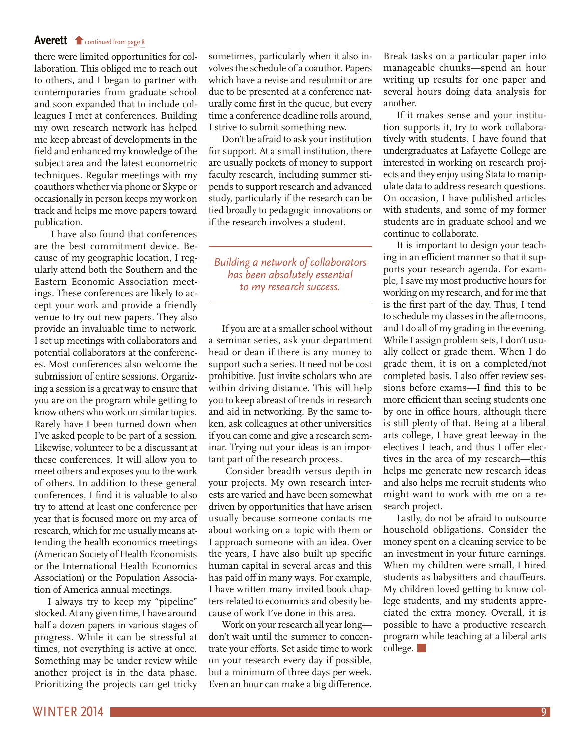### <span id="page-8-0"></span>Averett [continued from page 8](#page-7-0)

there were limited opportunities for collaboration. This obliged me to reach out to others, and I began to partner with contemporaries from graduate school and soon expanded that to include colleagues I met at conferences. Building my own research network has helped me keep abreast of developments in the field and enhanced my knowledge of the subject area and the latest econometric techniques. Regular meetings with my coauthors whether via phone or Skype or occasionally in person keeps my work on track and helps me move papers toward publication.

 I have also found that conferences are the best commitment device. Because of my geographic location, I regularly attend both the Southern and the Eastern Economic Association meetings. These conferences are likely to accept your work and provide a friendly venue to try out new papers. They also provide an invaluable time to network. I set up meetings with collaborators and potential collaborators at the conferences. Most conferences also welcome the submission of entire sessions. Organizing a session is a great way to ensure that you are on the program while getting to know others who work on similar topics. Rarely have I been turned down when I've asked people to be part of a session. Likewise, volunteer to be a discussant at these conferences. It will allow you to meet others and exposes you to the work of others. In addition to these general conferences, I find it is valuable to also try to attend at least one conference per year that is focused more on my area of research, which for me usually means attending the health economics meetings (American Society of Health Economists or the International Health Economics Association) or the Population Association of America annual meetings.

I always try to keep my "pipeline" stocked. At any given time, I have around half a dozen papers in various stages of progress. While it can be stressful at times, not everything is active at once. Something may be under review while another project is in the data phase. Prioritizing the projects can get tricky

sometimes, particularly when it also involves the schedule of a coauthor. Papers which have a revise and resubmit or are due to be presented at a conference naturally come first in the queue, but every time a conference deadline rolls around, I strive to submit something new.

Don't be afraid to ask your institution for support. At a small institution, there are usually pockets of money to support faculty research, including summer stipends to support research and advanced study, particularly if the research can be tied broadly to pedagogic innovations or if the research involves a student.

*Building a network of collaborators has been absolutely essential to my research success.*

If you are at a smaller school without a seminar series, ask your department head or dean if there is any money to support such a series. It need not be cost prohibitive. Just invite scholars who are within driving distance. This will help you to keep abreast of trends in research and aid in networking. By the same token, ask colleagues at other universities if you can come and give a research seminar. Trying out your ideas is an important part of the research process.

 Consider breadth versus depth in your projects. My own research interests are varied and have been somewhat driven by opportunities that have arisen usually because someone contacts me about working on a topic with them or I approach someone with an idea. Over the years, I have also built up specific human capital in several areas and this has paid off in many ways. For example, I have written many invited book chapters related to economics and obesity because of work I've done in this area.

Work on your research all year long don't wait until the summer to concentrate your efforts. Set aside time to work on your research every day if possible, but a minimum of three days per week. Even an hour can make a big difference. Break tasks on a particular paper into manageable chunks—spend an hour writing up results for one paper and several hours doing data analysis for another.

If it makes sense and your institution supports it, try to work collaboratively with students. I have found that undergraduates at Lafayette College are interested in working on research projects and they enjoy using Stata to manipulate data to address research questions. On occasion, I have published articles with students, and some of my former students are in graduate school and we continue to collaborate.

It is important to design your teaching in an efficient manner so that it supports your research agenda. For example, I save my most productive hours for working on my research, and for me that is the first part of the day. Thus, I tend to schedule my classes in the afternoons, and I do all of my grading in the evening. While I assign problem sets, I don't usually collect or grade them. When I do grade them, it is on a completed/not completed basis. I also offer review sessions before exams—I find this to be more efficient than seeing students one by one in office hours, although there is still plenty of that. Being at a liberal arts college, I have great leeway in the electives I teach, and thus I offer electives in the area of my research—this helps me generate new research ideas and also helps me recruit students who might want to work with me on a research project.

Lastly, do not be afraid to outsource household obligations. Consider the money spent on a cleaning service to be an investment in your future earnings. When my children were small, I hired students as babysitters and chauffeurs. My children loved getting to know college students, and my students appreciated the extra money. Overall, it is possible to have a productive research program while teaching at a liberal arts college.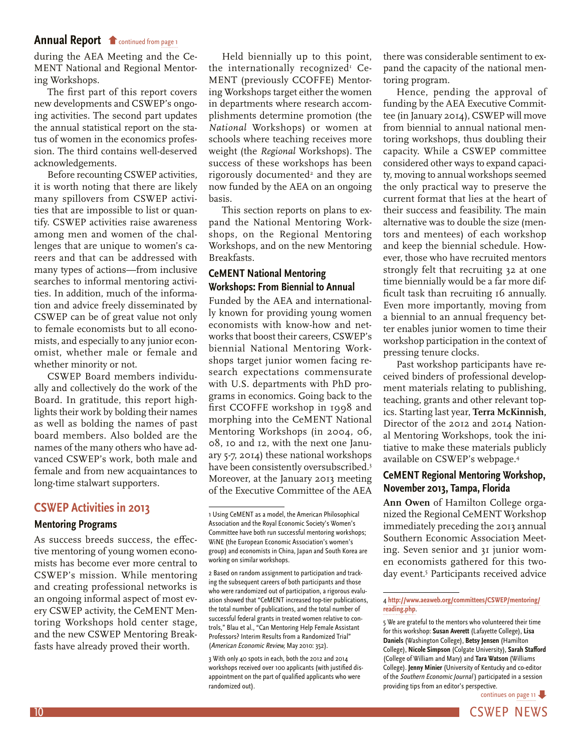<span id="page-9-0"></span>[during the AEA Meeting and the Ce-](#page-0-0)MENT National and Regional Mentoring Workshops.

The first part of this report covers new developments and CSWEP's ongoing activities. The second part updates the annual statistical report on the status of women in the economics profession. The third contains well-deserved acknowledgements.

Before recounting CSWEP activities, it is worth noting that there are likely many spillovers from CSWEP activities that are impossible to list or quantify. CSWEP activities raise awareness among men and women of the challenges that are unique to women's careers and that can be addressed with many types of actions—from inclusive searches to informal mentoring activities. In addition, much of the information and advice freely disseminated by CSWEP can be of great value not only to female economists but to all economists, and especially to any junior economist, whether male or female and whether minority or not.

CSWEP Board members individually and collectively do the work of the Board. In gratitude, this report highlights their work by bolding their names as well as bolding the names of past board members. Also bolded are the names of the many others who have advanced CSWEP's work, both male and female and from new acquaintances to long-time stalwart supporters.

# **CSWEP Activities in 2013**

#### **Mentoring Programs**

As success breeds success, the effective mentoring of young women economists has become ever more central to CSWEP's mission. While mentoring and creating professional networks is an ongoing informal aspect of most every CSWEP activity, the CeMENT Mentoring Workshops hold center stage, and the new CSWEP Mentoring Breakfasts have already proved their worth.

Held biennially up to this point, the internationally recognized<sup>1</sup> Ce-MENT (previously CCOFFE) Mentoring Workshops target either the women in departments where research accomplishments determine promotion (the *National* Workshops) or women at schools where teaching receives more weight (the *Regional* Workshops). The success of these workshops has been  $rigorously documented<sup>2</sup>$  and they are now funded by the AEA on an ongoing basis.

This section reports on plans to expand the National Mentoring Workshops, on the Regional Mentoring Workshops, and on the new Mentoring Breakfasts.

# **CeMENT National Mentoring Workshops: From Biennial to Annual**

Funded by the AEA and internationally known for providing young women economists with know-how and networks that boost their careers, CSWEP's biennial National Mentoring Workshops target junior women facing research expectations commensurate with U.S. departments with PhD programs in economics. Going back to the first CCOFFE workshop in 1998 and morphing into the CeMENT National Mentoring Workshops (in 2004, 06, 08, 10 and 12, with the next one January 5-7, 2014) these national workshops have been consistently oversubscribed.<sup>3</sup> Moreover, at the January 2013 meeting of the Executive Committee of the AEA

there was considerable sentiment to expand the capacity of the national mentoring program.

Hence, pending the approval of funding by the AEA Executive Committee (in January 2014), CSWEP will move from biennial to annual national mentoring workshops, thus doubling their capacity. While a CSWEP committee considered other ways to expand capacity, moving to annual workshops seemed the only practical way to preserve the current format that lies at the heart of their success and feasibility. The main alternative was to double the size (mentors and mentees) of each workshop and keep the biennial schedule. However, those who have recruited mentors strongly felt that recruiting 32 at one time biennially would be a far more difficult task than recruiting 16 annually. Even more importantly, moving from a biennial to an annual frequency better enables junior women to time their workshop participation in the context of pressing tenure clocks.

Past workshop participants have received binders of professional development materials relating to publishing, teaching, grants and other relevant topics. Starting last year, **Terra McKinnish,** Director of the 2012 and 2014 National Mentoring Workshops, took the initiative to make these materials publicly available on CSWEP's webpage.4

# **CeMENT Regional Mentoring Workshop, November 2013, Tampa, Florida**

**Ann Owen** of Hamilton College organized the Regional CeMENT Workshop immediately preceding the 2013 annual Southern Economic Association Meeting. Seven senior and 31 junior women economists gathered for this twoday event.5 Participants received advice

[continues on page 11](#page-10-0) -

<sup>1</sup> Using CeMENT as a model, the American Philosophical Association and the Royal Economic Society's Women's Committee have both run successful mentoring workshops; WiNE (the European Economic Association's women's group) and economists in China, Japan and South Korea are working on similar workshops.

<sup>2</sup> Based on random assignment to participation and tracking the subsequent careers of both participants and those who were randomized out of participation, a rigorous evaluation showed that "CeMENT increased top-tier publications, the total number of publications, and the total number of successful federal grants in treated women relative to controls," Blau et al., "Can Mentoring Help Female Assistant Professors? Interim Results from a Randomized Trial" (American Economic Review, May 2010: 352).

<sup>3</sup> With only 40 spots in each, both the 2012 and 2014 workshops received over 100 applicants (with justified disappointment on the part of qualified applicants who were randomized out).

<sup>4</sup> **[http://www.aeaweb.org/committees/CSWEP/mentoring/](http://www.aeaweb.org/committees/CSWEP/mentoring/reading.php) [reading.php](http://www.aeaweb.org/committees/CSWEP/mentoring/reading.php)**.

<sup>5</sup> We are grateful to the mentors who volunteered their time for this workshop: **Susan Averett** (Lafayette College), **Lisa Daniels** (Washington College), **Betsy Jensen** (Hamilton College), **Nicole Simpson** (Colgate University), **Sarah Stafford**  (College of William and Mary) and **Tara Watson** (Williams College). **Jenny Minier** (University of Kentucky and co-editor of the Southern Economic Journal ) participated in a session providing tips from an editor's perspective.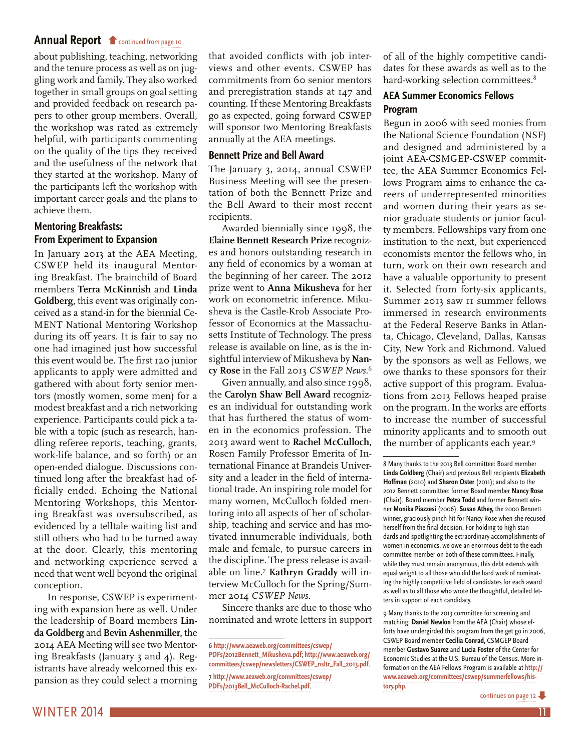<span id="page-10-0"></span>[about publishing, teaching, networking](#page-9-0)  and the tenure process as well as on juggling work and family. They also worked together in small groups on goal setting and provided feedback on research papers to other group members. Overall, the workshop was rated as extremely helpful, with participants commenting on the quality of the tips they received and the usefulness of the network that they started at the workshop. Many of the participants left the workshop with important career goals and the plans to achieve them.

# **Mentoring Breakfasts: From Experiment to Expansion**

In January 2013 at the AEA Meeting, CSWEP held its inaugural Mentoring Breakfast. The brainchild of Board members **Terra McKinnish** and **Linda Goldberg,** this event was originally conceived as a stand-in for the biennial Ce-MENT National Mentoring Workshop during its off years. It is fair to say no one had imagined just how successful this event would be. The first 120 junior applicants to apply were admitted and gathered with about forty senior mentors (mostly women, some men) for a modest breakfast and a rich networking experience. Participants could pick a table with a topic (such as research, handling referee reports, teaching, grants, work-life balance, and so forth) or an open-ended dialogue. Discussions continued long after the breakfast had officially ended. Echoing the National Mentoring Workshops, this Mentoring Breakfast was oversubscribed, as evidenced by a telltale waiting list and still others who had to be turned away at the door. Clearly, this mentoring and networking experience served a need that went well beyond the original conception.

In response, CSWEP is experimenting with expansion here as well. Under the leadership of Board members **Linda Goldberg** and **Bevin Ashenmiller,** the 2014 AEA Meeting will see two Mentoring Breakfasts (January 3 and 4). Registrants have already welcomed this expansion as they could select a morning that avoided conflicts with job interviews and other events. CSWEP has commitments from 60 senior mentors and preregistration stands at 147 and counting. If these Mentoring Breakfasts go as expected, going forward CSWEP will sponsor two Mentoring Breakfasts annually at the AEA meetings.

#### **Bennett Prize and Bell Award**

The January 3, 2014, annual CSWEP Business Meeting will see the presentation of both the Bennett Prize and the Bell Award to their most recent recipients.

Awarded biennially since 1998, the **Elaine Bennett Research Prize** recognizes and honors outstanding research in any field of economics by a woman at the beginning of her career. The 2012 prize went to **Anna Mikusheva** for her work on econometric inference. Mikusheva is the Castle-Krob Associate Professor of Economics at the Massachusetts Institute of Technology. The press release is available on line, as is the insightful interview of Mikusheva by **Nancy Rose** in the Fall 2013 *CSWEP News.*<sup>6</sup>

Given annually, and also since 1998, the **Carolyn Shaw Bell Award** recognizes an individual for outstanding work that has furthered the status of women in the economics profession. The 2013 award went to **Rachel McCulloch,**  Rosen Family Professor Emerita of International Finance at Brandeis University and a leader in the field of international trade. An inspiring role model for many women, McCulloch folded mentoring into all aspects of her of scholarship, teaching and service and has motivated innumerable individuals, both male and female, to pursue careers in the discipline. The press release is available on line.7 **Kathryn Graddy** will interview McCulloch for the Spring/Summer 2014 *CSWEP News.*

Sincere thanks are due to those who nominated and wrote letters in support of all of the highly competitive candidates for these awards as well as to the hard-working selection committees.<sup>8</sup>

# **AEA Summer Economics Fellows Program**

Begun in 2006 with seed monies from the National Science Foundation (NSF) and designed and administered by a joint AEA-CSMGEP-CSWEP committee, the AEA Summer Economics Fellows Program aims to enhance the careers of underrepresented minorities and women during their years as senior graduate students or junior faculty members. Fellowships vary from one institution to the next, but experienced economists mentor the fellows who, in turn, work on their own research and have a valuable opportunity to present it. Selected from forty-six applicants, Summer 2013 saw 11 summer fellows immersed in research environments at the Federal Reserve Banks in Atlanta, Chicago, Cleveland, Dallas, Kansas City, New York and Richmond. Valued by the sponsors as well as Fellows, we owe thanks to these sponsors for their active support of this program. Evaluations from 2013 Fellows heaped praise on the program. In the works are efforts to increase the number of successful minority applicants and to smooth out the number of applicants each year.9

9 Many thanks to the 2013 committee for screening and matching: **Daniel Newlon** from the AEA (Chair) whose efforts have undergirded this program from the get go in 2006, CSWEP Board member **Cecilia Conrad,** CSMGEP Board member **Gustavo Suarez** and **Lucia Foster** of the Center for Economic Studies at the U.S. Bureau of the Census. More information on the AEA Fellows Program is available at **[http://](http://www.aeaweb.org/committees/cswep/summerfellows/history.php) [www.aeaweb.org/committees/cswep/summerfellows/his](http://www.aeaweb.org/committees/cswep/summerfellows/history.php)[tory.php](http://www.aeaweb.org/committees/cswep/summerfellows/history.php)**.

<sup>6</sup> **[http://www.aeaweb.org/committees/cswep/](http://www.aeaweb.org/committees/cswep/PDFs/2012Bennett_Mikusheva.pdf) [PDFs/2012Bennett\\_Mikusheva.pdf](http://www.aeaweb.org/committees/cswep/PDFs/2012Bennett_Mikusheva.pdf)**; **[http://www.aeaweb.org/](http://www.aeaweb.org/committees/cswep/newsletters/CSWEP_nsltr_Fall_2013.pdf) [committees/cswep/newsletters/CSWEP\\_nsltr\\_Fall\\_2013.pdf](http://www.aeaweb.org/committees/cswep/newsletters/CSWEP_nsltr_Fall_2013.pdf)**.

<sup>7</sup> **[http://www.aeaweb.org/committees/cswep/](http://www.aeaweb.org/committees/cswep/PDFs/2013Bell_McCulloch-Rachel.pdf) [PDFs/2013Bell\\_McCulloch-Rachel.pdf](http://www.aeaweb.org/committees/cswep/PDFs/2013Bell_McCulloch-Rachel.pdf)**.

<sup>8</sup> Many thanks to the 2013 Bell committee: Board member **Linda Goldberg** (Chair) and previous Bell recipients **Elizabeth Hoffman** (2010) and **Sharon Oster** (2011); and also to the 2012 Bennett committee: former Board member **Nancy Rose**  (Chair), Board member **Petra Todd** and former Bennett winner **Monika Piazzesi** (2006). **Susan Athey,** the 2000 Bennett winner, graciously pinch hit for Nancy Rose when she recused herself from the final decision. For holding to high standards and spotlighting the extraordinary accomplishments of women in economics, we owe an enormous debt to the each committee member on both of these committees. Finally, while they must remain anonymous, this debt extends with equal weight to all those who did the hard work of nominating the highly competitive field of candidates for each award as well as to all those who wrote the thoughtful, detailed letters in support of each candidacy.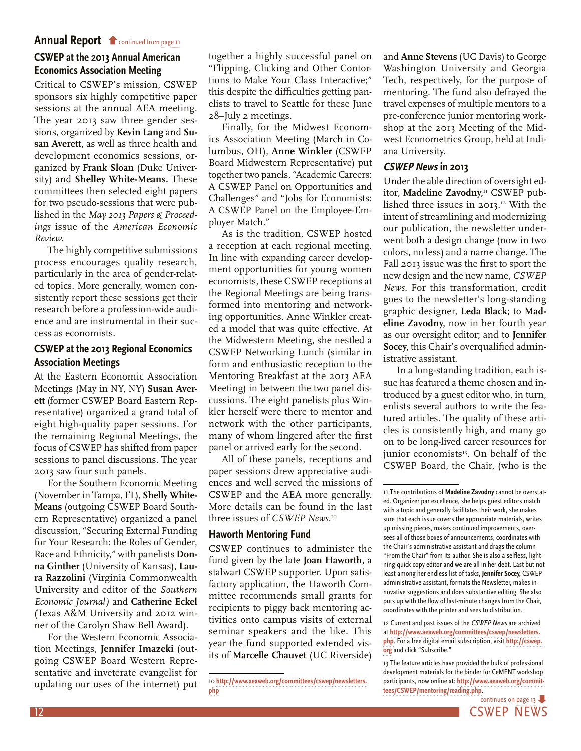# <span id="page-11-0"></span>**[CSWEP at the 2013 Annual American](#page-10-0)  Economics Association Meeting**

Critical to CSWEP's mission, CSWEP sponsors six highly competitive paper sessions at the annual AEA meeting. The year 2013 saw three gender sessions, organized by **Kevin Lang** and **Susan Averett,** as well as three health and development economics sessions, organized by **Frank Sloan** (Duke University) and **Shelley White-Means.** These committees then selected eight papers for two pseudo-sessions that were published in the *May 2013 Papers & Proceedings* issue of the *American Economic Review.*

The highly competitive submissions process encourages quality research, particularly in the area of gender-related topics. More generally, women consistently report these sessions get their research before a profession-wide audience and are instrumental in their success as economists.

### **CSWEP at the 2013 Regional Economics Association Meetings**

At the Eastern Economic Association Meetings (May in NY, NY) **Susan Averett** (former CSWEP Board Eastern Representative) organized a grand total of eight high-quality paper sessions. For the remaining Regional Meetings, the focus of CSWEP has shifted from paper sessions to panel discussions. The year 2013 saw four such panels.

For the Southern Economic Meeting (November in Tampa, FL), **Shelly White-Means** (outgoing CSWEP Board Southern Representative) organized a panel discussion, "Securing External Funding for Your Research: the Roles of Gender, Race and Ethnicity," with panelists **Donna Ginther** (University of Kansas), **Laura Razzolini** (Virginia Commonwealth University and editor of the *Southern Economic Journal)* and **Catherine Eckel**  (Texas A&M University and 2012 winner of the Carolyn Shaw Bell Award).

For the Western Economic Association Meetings, **Jennifer Imazeki** (outgoing CSWEP Board Western Representative and inveterate evangelist for updating our uses of the internet) put together a highly successful panel on "Flipping, Clicking and Other Contortions to Make Your Class Interactive;" this despite the difficulties getting panelists to travel to Seattle for these June 28–July 2 meetings.

Finally, for the Midwest Economics Association Meeting (March in Columbus, OH), **Anne Winkler** (CSWEP Board Midwestern Representative) put together two panels, "Academic Careers: A CSWEP Panel on Opportunities and Challenges" and "Jobs for Economists: A CSWEP Panel on the Employee-Employer Match."

As is the tradition, CSWEP hosted a reception at each regional meeting. In line with expanding career development opportunities for young women economists, these CSWEP receptions at the Regional Meetings are being transformed into mentoring and networking opportunities. Anne Winkler created a model that was quite effective. At the Midwestern Meeting, she nestled a CSWEP Networking Lunch (similar in form and enthusiastic reception to the Mentoring Breakfast at the 2013 AEA Meeting) in between the two panel discussions. The eight panelists plus Winkler herself were there to mentor and network with the other participants, many of whom lingered after the first panel or arrived early for the second.

All of these panels, receptions and paper sessions drew appreciative audiences and well served the missions of CSWEP and the AEA more generally. More details can be found in the last three issues of *CSWEP News.*<sup>10</sup>

#### **Haworth Mentoring Fund**

CSWEP continues to administer the fund given by the late **Joan Haworth,** a stalwart CSWEP supporter. Upon satisfactory application, the Haworth Committee recommends small grants for recipients to piggy back mentoring activities onto campus visits of external seminar speakers and the like. This year the fund supported extended visits of **Marcelle Chauvet** (UC Riverside)

and **Anne Stevens** (UC Davis) to George Washington University and Georgia Tech, respectively, for the purpose of mentoring. The fund also defrayed the travel expenses of multiple mentors to a pre-conference junior mentoring workshop at the 2013 Meeting of the Midwest Econometrics Group, held at Indiana University.

#### **CSWEP News in 2013**

Under the able direction of oversight editor, Madeline Zavodny,<sup>11</sup> CSWEP published three issues in 2013.<sup>12</sup> With the intent of streamlining and modernizing our publication, the newsletter underwent both a design change (now in two colors, no less) and a name change. The Fall 2013 issue was the first to sport the new design and the new name, *CSWEP News.* For this transformation, credit goes to the newsletter's long-standing graphic designer, **Leda Black;** to **Madeline Zavodny,** now in her fourth year as our oversight editor; and to **Jennifer Socey,** this Chair's overqualified administrative assistant.

In a long-standing tradition, each issue has featured a theme chosen and introduced by a guest editor who, in turn, enlists several authors to write the featured articles. The quality of these articles is consistently high, and many go on to be long-lived career resources for junior economists<sup>13</sup>. On behalf of the CSWEP Board, the Chair, (who is the

<sup>13</sup> The feature articles have provided the bulk of professional development materials for the binder for CeMENT workshop participants, now online at: **[http://www.aeaweb.org/commit](http://www.aeaweb.org/committees/CSWEP/mentoring/reading.php)[tees/CSWEP/mentoring/reading.php](http://www.aeaweb.org/committees/CSWEP/mentoring/reading.php)**.



<sup>10</sup> **[http://www.aeaweb.org/committees/cswep/newsletters.](http://www.aeaweb.org/committees/cswep/newsletters.php) [php](http://www.aeaweb.org/committees/cswep/newsletters.php)**

<sup>11</sup> The contributions of **Madeline Zavodny** cannot be overstated. Organizer par excellence, she helps guest editors match with a topic and generally facilitates their work, she makes sure that each issue covers the appropriate materials, writes up missing pieces, makes continued improvements, oversees all of those boxes of announcements, coordinates with the Chair's administrative assistant and drags the column "From the Chair" from its author. She is also a selfless, lightning-quick copy editor and we are all in her debt. Last but not least among her endless list of tasks, **Jennifer Socey,** CSWEP administrative assistant, formats the Newsletter, makes innovative suggestions and does substantive editing. She also puts up with the flow of last-minute changes from the Chair, coordinates with the printer and sees to distribution.

<sup>12</sup> Current and past issues of the CSWEP News are archived at **[http://www.aeaweb.org/committees/cswep/newsletters.](http://www.aeaweb.org/committees/cswep/newsletters.php) [php](http://www.aeaweb.org/committees/cswep/newsletters.php)**. For a free digital email subscription, visit **[http://cswep.](http://cswep.org) [org](http://cswep.org)** and click "Subscribe."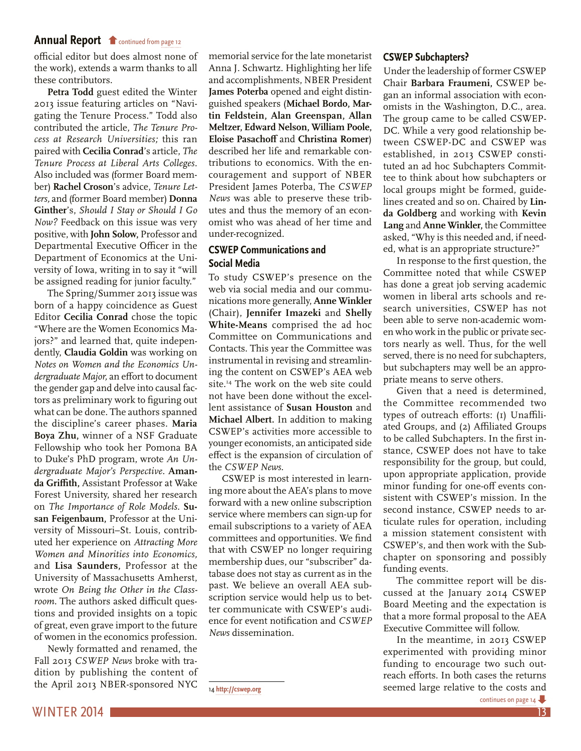<span id="page-12-0"></span>[official editor but does almost none of](#page-11-0)  the work), extends a warm thanks to all these contributors.

**Petra Todd** guest edited the Winter 2013 issue featuring articles on "Navigating the Tenure Process." Todd also contributed the article, *The Tenure Process at Research Universities;* this ran paired with **Cecilia Conrad**'s article, *The Tenure Process at Liberal Arts Colleges.*  Also included was (former Board member) **Rachel Croson**'s advice, *Tenure Letters,* and (former Board member) **Donna Ginther**'s, *Should I Stay or Should I Go Now?* Feedback on this issue was very positive, with **John Solow,** Professor and Departmental Executive Officer in the Department of Economics at the University of Iowa, writing in to say it "will be assigned reading for junior faculty."

The Spring/Summer 2013 issue was born of a happy coincidence as Guest Editor **Cecilia Conrad** chose the topic "Where are the Women Economics Majors?" and learned that, quite independently, **Claudia Goldin** was working on *Notes on Women and the Economics Undergraduate Major,* an effort to document the gender gap and delve into causal factors as preliminary work to figuring out what can be done. The authors spanned the discipline's career phases. **Maria Boya Zhu,** winner of a NSF Graduate Fellowship who took her Pomona BA to Duke's PhD program, wrote *An Undergraduate Major's Perspective.* **Amanda Griffith,** Assistant Professor at Wake Forest University, shared her research on *The Importance of Role Models.* **Susan Feigenbaum,** Professor at the University of Missouri–St. Louis, contributed her experience on *Attracting More Women and Minorities into Economics,*  and **Lisa Saunders,** Professor at the University of Massachusetts Amherst, wrote *On Being the Other in the Classroom.* The authors asked difficult questions and provided insights on a topic of great, even grave import to the future of women in the economics profession.

Newly formatted and renamed, the Fall 2013 *CSWEP News* broke with tradition by publishing the content of the April 2013 NBER-sponsored NYC

memorial service for the late monetarist Anna J. Schwartz. Highlighting her life and accomplishments, NBER President **James Poterba** opened and eight distinguished speakers (**Michael Bordo, Martin Feldstein, Alan Greenspan, Allan Meltzer, Edward Nelson, William Poole, Eloise Pasachoff** and **Christina Romer**) described her life and remarkable contributions to economics. With the encouragement and support of NBER President James Poterba, The *CSWEP News* was able to preserve these tributes and thus the memory of an economist who was ahead of her time and under-recognized.

### **CSWEP Communications and Social Media**

To study CSWEP's presence on the web via social media and our communications more generally, **Anne Winkler**  (Chair), **Jennifer Imazeki** and **Shelly White-Means** comprised the ad hoc Committee on Communications and Contacts. This year the Committee was instrumental in revising and streamlining the content on CSWEP's AEA web site.<sup>14</sup> The work on the web site could not have been done without the excellent assistance of **Susan Houston** and **Michael Albert.** In addition to making CSWEP's activities more accessible to younger economists, an anticipated side effect is the expansion of circulation of the *CSWEP News.*

CSWEP is most interested in learning more about the AEA's plans to move forward with a new online subscription service where members can sign-up for email subscriptions to a variety of AEA committees and opportunities. We find that with CSWEP no longer requiring membership dues, our "subscriber" database does not stay as current as in the past. We believe an overall AEA subscription service would help us to better communicate with CSWEP's audience for event notification and *CSWEP News* dissemination.

14 **<http://cswep.org>**

#### **CSWEP Subchapters?**

Under the leadership of former CSWEP Chair **Barbara Fraumeni,** CSWEP began an informal association with economists in the Washington, D.C., area. The group came to be called CSWEP-DC. While a very good relationship between CSWEP-DC and CSWEP was established, in 2013 CSWEP constituted an ad hoc Subchapters Committee to think about how subchapters or local groups might be formed, guidelines created and so on. Chaired by **Linda Goldberg** and working with **Kevin Lang** and **Anne Winkler,** the Committee asked, "Why is this needed and, if needed, what is an appropriate structure?"

In response to the first question, the Committee noted that while CSWEP has done a great job serving academic women in liberal arts schools and research universities, CSWEP has not been able to serve non-academic women who work in the public or private sectors nearly as well. Thus, for the well served, there is no need for subchapters, but subchapters may well be an appropriate means to serve others.

Given that a need is determined, the Committee recommended two types of outreach efforts: (1) Unaffiliated Groups, and (2) Affiliated Groups to be called Subchapters. In the first instance, CSWEP does not have to take responsibility for the group, but could, upon appropriate application, provide minor funding for one-off events consistent with CSWEP's mission. In the second instance, CSWEP needs to articulate rules for operation, including a mission statement consistent with CSWEP's, and then work with the Subchapter on sponsoring and possibly funding events.

The committee report will be discussed at the January 2014 CSWEP Board Meeting and the expectation is that a more formal proposal to the AEA Executive Committee will follow.

In the meantime, in 2013 CSWEP experimented with providing minor funding to encourage two such outreach efforts. In both cases the returns seemed large relative to the costs and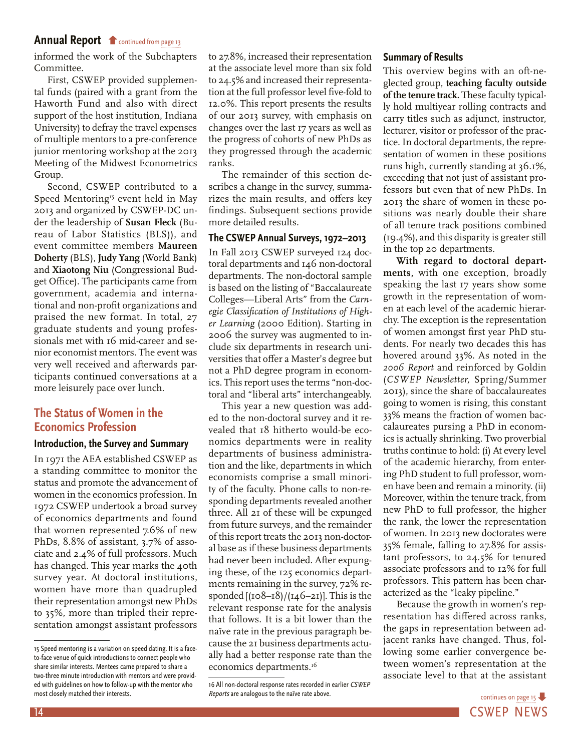<span id="page-13-0"></span>[informed the work of the Subchapters](#page-12-0)  Committee.

First, CSWEP provided supplemental funds (paired with a grant from the Haworth Fund and also with direct support of the host institution, Indiana University) to defray the travel expenses of multiple mentors to a pre-conference junior mentoring workshop at the 2013 Meeting of the Midwest Econometrics Group.

Second, CSWEP contributed to a Speed Mentoring<sup>15</sup> event held in May 2013 and organized by CSWEP-DC under the leadership of **Susan Fleck** (Bureau of Labor Statistics (BLS)), and event committee members **Maureen Doherty** (BLS), **Judy Yang** (World Bank) and **Xiaotong Niu** (Congressional Budget Office). The participants came from government, academia and international and non-profit organizations and praised the new format. In total, 27 graduate students and young professionals met with 16 mid-career and senior economist mentors. The event was very well received and afterwards participants continued conversations at a more leisurely pace over lunch.

# **The Status of Women in the Economics Profession**

#### **Introduction, the Survey and Summary**

In 1971 the AEA established CSWEP as a standing committee to monitor the status and promote the advancement of women in the economics profession. In 1972 CSWEP undertook a broad survey of economics departments and found that women represented 7.6% of new PhDs, 8.8% of assistant, 3.7% of associate and 2.4% of full professors. Much has changed. This year marks the 40th survey year. At doctoral institutions, women have more than quadrupled their representation amongst new PhDs to 35%, more than tripled their representation amongst assistant professors

to 27.8%, increased their representation at the associate level more than six fold to 24.5% and increased their representation at the full professor level five-fold to 12.0%. This report presents the results of our 2013 survey, with emphasis on changes over the last 17 years as well as the progress of cohorts of new PhDs as they progressed through the academic ranks.

The remainder of this section describes a change in the survey, summarizes the main results, and offers key findings. Subsequent sections provide more detailed results.

#### **The CSWEP Annual Surveys, 1972–2013**

In Fall 2013 CSWEP surveyed 124 doctoral departments and 146 non-doctoral departments. The non-doctoral sample is based on the listing of "Baccalaureate Colleges—Liberal Arts" from the *Carnegie Classification of Institutions of Higher Learning* (2000 Edition). Starting in 2006 the survey was augmented to include six departments in research universities that offer a Master's degree but not a PhD degree program in economics. This report uses the terms "non-doctoral and "liberal arts" interchangeably.

This year a new question was added to the non-doctoral survey and it revealed that 18 hitherto would-be economics departments were in reality departments of business administration and the like, departments in which economists comprise a small minority of the faculty. Phone calls to non-responding departments revealed another three. All 21 of these will be expunged from future surveys, and the remainder of this report treats the 2013 non-doctoral base as if these business departments had never been included. After expunging these, of the 125 economics departments remaining in the survey, 72% responded  $[(108-18)/(146-21)]$ . This is the relevant response rate for the analysis that follows. It is a bit lower than the naïve rate in the previous paragraph because the 21 business departments actually had a better response rate than the economics departments.<sup>16</sup>

#### **Summary of Results**

This overview begins with an oft-neglected group, **teaching faculty outside of the tenure track.** These faculty typically hold multiyear rolling contracts and carry titles such as adjunct, instructor, lecturer, visitor or professor of the practice. In doctoral departments, the representation of women in these positions runs high, currently standing at 36.1%, exceeding that not just of assistant professors but even that of new PhDs. In 2013 the share of women in these positions was nearly double their share of all tenure track positions combined (19.4%), and this disparity is greater still in the top 20 departments.

**With regard to doctoral departments,** with one exception, broadly speaking the last 17 years show some growth in the representation of women at each level of the academic hierarchy. The exception is the representation of women amongst first year PhD students. For nearly two decades this has hovered around 33%. As noted in the *2006 Report* and reinforced by Goldin (*CSWEP Newsletter,* Spring/Summer 2013), since the share of baccalaureates going to women is rising, this constant 33% means the fraction of women baccalaureates pursing a PhD in economics is actually shrinking. Two proverbial truths continue to hold: (i) At every level of the academic hierarchy, from entering PhD student to full professor, women have been and remain a minority. (ii) Moreover, within the tenure track, from new PhD to full professor, the higher the rank, the lower the representation of women. In 2013 new doctorates were 35% female, falling to 27.8% for assistant professors, to 24.5% for tenured associate professors and to 12% for full professors. This pattern has been characterized as the "leaky pipeline."

Because the growth in women's representation has differed across ranks, the gaps in representation between adjacent ranks have changed. Thus, following some earlier convergence between women's representation at the associate level to that at the assistant

14 **CSWEP NEWS** [continues on page 15](#page-14-0)

<sup>15</sup> Speed mentoring is a variation on speed dating. It is a faceto-face venue of quick introductions to connect people who share similar interests. Mentees came prepared to share a two-three minute introduction with mentors and were provided with guidelines on how to follow-up with the mentor who most closely matched their interests.

<sup>16</sup> All non-doctoral response rates recorded in earlier CSWEP Reports are analogous to the naïve rate above.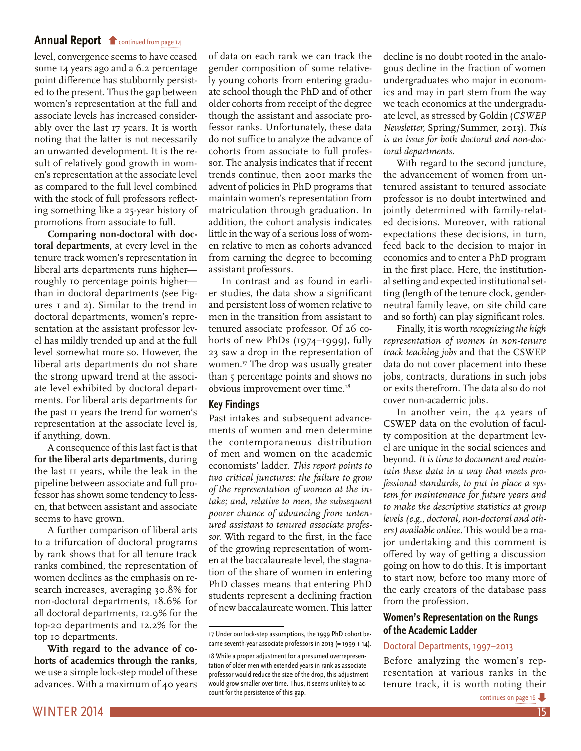<span id="page-14-0"></span>[level, convergence seems to have ceased](#page-13-0)  some 14 years ago and a 6.2 percentage point difference has stubbornly persisted to the present. Thus the gap between women's representation at the full and associate levels has increased considerably over the last 17 years. It is worth noting that the latter is not necessarily an unwanted development. It is the result of relatively good growth in women's representation at the associate level as compared to the full level combined with the stock of full professors reflecting something like a 25-year history of promotions from associate to full.

**Comparing non-doctoral with doctoral departments,** at every level in the tenure track women's representation in liberal arts departments runs higher roughly 10 percentage points higher than in doctoral departments (see Figures 1 and 2). Similar to the trend in doctoral departments, women's representation at the assistant professor level has mildly trended up and at the full level somewhat more so. However, the liberal arts departments do not share the strong upward trend at the associate level exhibited by doctoral departments. For liberal arts departments for the past 11 years the trend for women's representation at the associate level is, if anything, down.

A consequence of this last fact is that **for the liberal arts departments,** during the last 11 years, while the leak in the pipeline between associate and full professor has shown some tendency to lessen, that between assistant and associate seems to have grown.

A further comparison of liberal arts to a trifurcation of doctoral programs by rank shows that for all tenure track ranks combined, the representation of women declines as the emphasis on research increases, averaging 30.8% for non-doctoral departments, 18.6% for all doctoral departments, 12.9% for the top-20 departments and 12.2% for the top 10 departments.

**With regard to the advance of cohorts of academics through the ranks,**  we use a simple lock-step model of these advances. With a maximum of 40 years of data on each rank we can track the gender composition of some relatively young cohorts from entering graduate school though the PhD and of other older cohorts from receipt of the degree though the assistant and associate professor ranks. Unfortunately, these data do not suffice to analyze the advance of cohorts from associate to full professor. The analysis indicates that if recent trends continue, then 2001 marks the advent of policies in PhD programs that maintain women's representation from matriculation through graduation. In addition, the cohort analysis indicates little in the way of a serious loss of women relative to men as cohorts advanced from earning the degree to becoming assistant professors.

In contrast and as found in earlier studies, the data show a significant and persistent loss of women relative to men in the transition from assistant to tenured associate professor. Of 26 cohorts of new PhDs (1974–1999), fully 23 saw a drop in the representation of women.<sup>17</sup> The drop was usually greater than 5 percentage points and shows no obvious improvement over time.18

#### **Key Findings**

Past intakes and subsequent advancements of women and men determine the contemporaneous distribution of men and women on the academic economists' ladder. *This report points to two critical junctures: the failure to grow of the representation of women at the intake; and, relative to men, the subsequent poorer chance of advancing from untenured assistant to tenured associate professor.* With regard to the first, in the face of the growing representation of women at the baccalaureate level, the stagnation of the share of women in entering PhD classes means that entering PhD students represent a declining fraction of new baccalaureate women. This latter decline is no doubt rooted in the analogous decline in the fraction of women undergraduates who major in economics and may in part stem from the way we teach economics at the undergraduate level, as stressed by Goldin (*CSWEP Newsletter,* Spring/Summer, 2013). *This is an issue for both doctoral and non-doctoral departments.* 

With regard to the second juncture, the advancement of women from untenured assistant to tenured associate professor is no doubt intertwined and jointly determined with family-related decisions. Moreover, with rational expectations these decisions, in turn, feed back to the decision to major in economics and to enter a PhD program in the first place. Here, the institutional setting and expected institutional setting (length of the tenure clock, genderneutral family leave, on site child care and so forth) can play significant roles.

Finally, it is worth *recognizing the high representation of women in non-tenure track teaching jobs* and that the CSWEP data do not cover placement into these jobs, contracts, durations in such jobs or exits therefrom. The data also do not cover non-academic jobs.

In another vein, the 42 years of CSWEP data on the evolution of faculty composition at the department level are unique in the social sciences and beyond. *It is time to document and maintain these data in a way that meets professional standards, to put in place a system for maintenance for future years and to make the descriptive statistics at group levels (e.g., doctoral, non-doctoral and others) available online.* This would be a major undertaking and this comment is offered by way of getting a discussion going on how to do this. It is important to start now, before too many more of the early creators of the database pass from the profession.

# **Women's Representation on the Rungs of the Academic Ladder**

# Doctoral Departments, 1997–2013

Before analyzing the women's representation at various ranks in the tenure track, it is worth noting their

<sup>17</sup> Under our lock-step assumptions, the 1999 PhD cohort became seventh-year associate professors in 2013 (= 1999 + 14).

<sup>18</sup> While a proper adjustment for a presumed overrepresentation of older men with extended years in rank as associate professor would reduce the size of the drop, this adjustment would grow smaller over time. Thus, it seems unlikely to account for the persistence of this gap.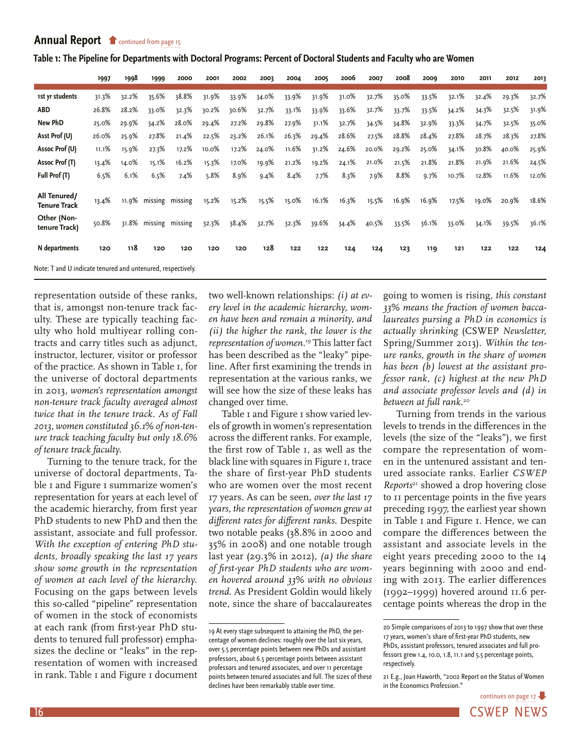<span id="page-15-0"></span>

| Table 1: The Pipeline for Departments with Doctoral Programs: Percent of Doctoral Students and Faculty who are Women |  |  |  |
|----------------------------------------------------------------------------------------------------------------------|--|--|--|
|                                                                                                                      |  |  |  |

|                                                             | 1997  | 1998  | 1999                  | 2000  | 2001  | 2002  | 2003  | 2004  | 2005  | 2006  | 2007  | 2008  | 2009  | 2010  | 2011  | 2012  | 2013  |
|-------------------------------------------------------------|-------|-------|-----------------------|-------|-------|-------|-------|-------|-------|-------|-------|-------|-------|-------|-------|-------|-------|
| 1st yr students                                             | 31.3% | 32.2% | 35.6%                 | 38.8% | 31.9% | 33.9% | 34.0% | 33.9% | 31.9% | 31.0% | 32.7% | 35.0% | 33.5% | 32.1% | 32.4% | 29.3% | 32.7% |
| <b>ABD</b>                                                  | 26.8% | 28.2% | 33.0%                 | 32.3% | 30.2% | 30.6% | 32.7% | 33.1% | 33.9% | 33.6% | 32.7% | 33.7% | 33.5% | 34.2% | 34.3% | 32.5% | 31.9% |
| <b>New PhD</b>                                              | 25.0% | 29.9% | 34.2%                 | 28.0% | 29.4% | 27.2% | 29.8% | 27.9% | 31.1% | 32.7% | 34.5% | 34.8% | 32.9% | 33.3% | 34.7% | 32.5% | 35.0% |
| Asst Prof (U)                                               | 26.0% | 25.9% | 27.8%                 | 21.4% | 22.5% | 23.2% | 26.1% | 26.3% | 29.4% | 28.6% | 27.5% | 28.8% | 28.4% | 27.8% | 28.7% | 28.3% | 27.8% |
| Assoc Prof (U)                                              | 11.1% | 15.9% | 27.3%                 | 17.2% | 10.0% | 17.2% | 24.0% | 11.6% | 31.2% | 24.6% | 20.0% | 29.2% | 25.0% | 34.1% | 30.8% | 40.0% | 25.9% |
| Assoc Prof (T)                                              | 13.4% | 14.0% | 15.1%                 | 16.2% | 15.3% | 17.0% | 19.9% | 21.2% | 19.2% | 24.1% | 21.0% | 21.5% | 21.8% | 21.8% | 21.9% | 21.6% | 24.5% |
| Full Prof (T)                                               | 6.5%  | 6.1%  | 6.5%                  | 7.4%  | 5.8%  | 8.9%  | 9.4%  | 8.4%  | 7.7%  | 8.3%  | 7.9%  | 8.8%  | 9.7%  | 10.7% | 12.8% | 11.6% | 12.0% |
| All Tenured/<br><b>Tenure Track</b>                         | 13.4% |       | 11.9% missing missing |       | 15.2% | 15.2% | 15.5% | 15.0% | 16.1% | 16.3% | 15.5% | 16.9% | 16.9% | 17.5% | 19.0% | 20.9% | 18.6% |
| Other (Non-<br>tenure Track)                                | 50.8% |       | 31.8% missing missing |       | 32.3% | 38.4% | 32.7% | 32.3% | 39.6% | 34.4% | 40.5% | 33.5% | 36.1% | 33.0% | 34.1% | 39.5% | 36.1% |
| N departments                                               | 120   | 118   | 120                   | 120   | 120   | 120   | 128   | 122   | 122   | 124   | 124   | 123   | 119   | 121   | 122   | 122   | 124   |
| Note: T and U indicate tenured and untenured, respectively. |       |       |                       |       |       |       |       |       |       |       |       |       |       |       |       |       |       |

representation outside of these ranks, that is, amongst non-tenure track faculty. These are typically teaching faculty who hold multiyear rolling contracts and carry titles such as adjunct, instructor, lecturer, visitor or professor of the practice. As shown in Table 1, for the universe of doctoral departments in 2013, *women's representation amongst non-tenure track faculty averaged almost twice that in the tenure track. As of Fall 2013, women constituted 36.1% of non-tenure track teaching faculty but only 18.6% of tenure track faculty.*

Turning to the tenure track, for the universe of doctoral departments, Table 1 and Figure 1 summarize women's representation for years at each level of the academic hierarchy, from first year PhD students to new PhD and then the assistant, associate and full professor. *With the exception of entering PhD students, broadly speaking the last 17 years show some growth in the representation of women at each level of the hierarchy.*  Focusing on the gaps between levels this so-called "pipeline" representation of women in the stock of economists at each rank (from first-year PhD students to tenured full professor) emphasizes the decline or "leaks" in the representation of women with increased in rank. Table 1 and Figure 1 document two well-known relationships: *(i) at every level in the academic hierarchy, women have been and remain a minority, and (ii) the higher the rank, the lower is the representation of women.19* This latter fact has been described as the "leaky" pipeline. After first examining the trends in representation at the various ranks, we will see how the size of these leaks has changed over time.

Table I and Figure I show varied levels of growth in women's representation across the different ranks. For example, the first row of Table 1, as well as the black line with squares in Figure 1, trace the share of first-year PhD students who are women over the most recent 17 years. As can be seen, *over the last 17 years, the representation of women grew at different rates for different ranks.* Despite two notable peaks (38.8% in 2000 and 35% in 2008) and one notable trough last year (29.3% in 2012), *(a) the share of first-year PhD students who are women hovered around 33% with no obvious trend.* As President Goldin would likely note, since the share of baccalaureates

going to women is rising, *this constant 33% means the fraction of women baccalaureates pursing a PhD in economics is actually shrinking* (CSWEP *Newsletter,*  Spring/Summer 2013). *Within the tenure ranks, growth in the share of women has been (b) lowest at the assistant professor rank, (c) highest at the new PhD and associate professor levels and (d) in between at full rank.*<sup>20</sup>

Turning from trends in the various levels to trends in the differences in the levels (the size of the "leaks"), we first compare the representation of women in the untenured assistant and tenured associate ranks. Earlier *CSWEP Reports*21 showed a drop hovering close to 11 percentage points in the five years preceding 1997, the earliest year shown in Table 1 and Figure 1. Hence, we can compare the differences between the assistant and associate levels in the eight years preceding 2000 to the 14 years beginning with 2000 and ending with 2013. The earlier differences (1992–1999) hovered around 11.6 percentage points whereas the drop in the

<sup>19</sup> At every stage subsequent to attaining the PhD, the percentage of women declines: roughly over the last six years, over 5.5 percentage points between new PhDs and assistant professors, about 6.5 percentage points between assistant professors and tenured associates, and over 11 percentage points between tenured associates and full. The sizes of these declines have been remarkably stable over time.

<sup>20</sup> Simple comparisons of 2013 to 1997 show that over these 17 years, women's share of first-year PhD students, new PhDs, assistant professors, tenured associates and full professors grew 1.4, 10.0, 1.8, 11.1 and 5.5 percentage points, respectively.

<sup>21</sup> E.g., Joan Haworth, "2002 Report on the Status of Women in the Economics Profession."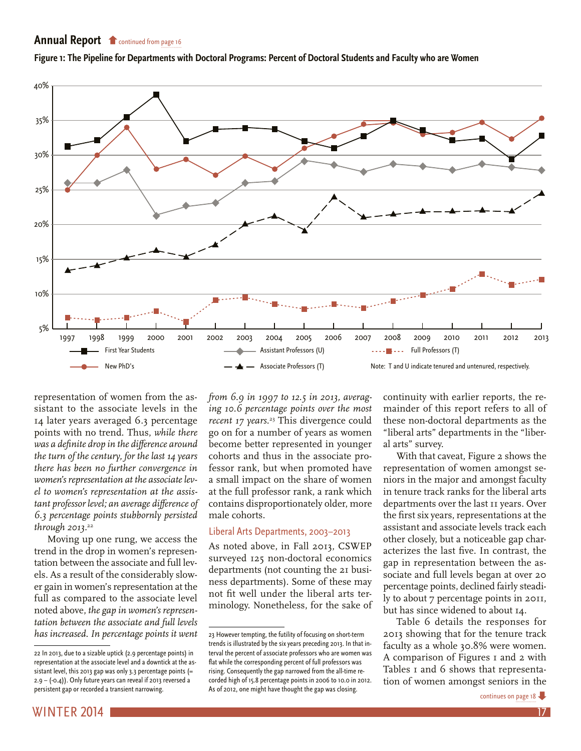

<span id="page-16-0"></span>**[Figure 1: The Pipeline for Departments with D](#page-15-0)octoral Programs: Percent of Doctoral Students and Faculty who are Women**

representation of women from the assistant to the associate levels in the 14 later years averaged 6.3 percentage points with no trend. Thus, *while there was a definite drop in the difference around the turn of the century, for the last 14 years there has been no further convergence in women's representation at the associate level to women's representation at the assistant professor level; an average difference of 6.3 percentage points stubbornly persisted through 2013.*<sup>22</sup>

Moving up one rung, we access the trend in the drop in women's representation between the associate and full levels. As a result of the considerably slower gain in women's representation at the full as compared to the associate level noted above, *the gap in women's representation between the associate and full levels has increased. In percentage points it went* 

22 In 2013, due to a sizable uptick (2.9 percentage points) in representation at the associate level and a downtick at the assistant level, this 2013 gap was only 3.3 percentage points  $(=$ 2.9 – (-0.4)). Only future years can reveal if 2013 reversed a persistent gap or recorded a transient narrowing.

*from 6.9 in 1997 to 12.5 in 2013, averaging 10.6 percentage points over the most recent 17 years.*23 This divergence could go on for a number of years as women become better represented in younger cohorts and thus in the associate professor rank, but when promoted have a small impact on the share of women at the full professor rank, a rank which contains disproportionately older, more male cohorts.

# Liberal Arts Departments, 2003–2013

As noted above, in Fall 2013, CSWEP surveyed 125 non-doctoral economics departments (not counting the 21 business departments). Some of these may not fit well under the liberal arts terminology. Nonetheless, for the sake of continuity with earlier reports, the remainder of this report refers to all of these non-doctoral departments as the "liberal arts" departments in the "liberal arts" survey.

With that caveat, Figure 2 shows the representation of women amongst seniors in the major and amongst faculty in tenure track ranks for the liberal arts departments over the last 11 years. Over the first six years, representations at the assistant and associate levels track each other closely, but a noticeable gap characterizes the last five. In contrast, the gap in representation between the associate and full levels began at over 20 percentage points, declined fairly steadily to about 7 percentage points in 2011, but has since widened to about 14.

Table 6 details the responses for 2013 showing that for the tenure track faculty as a whole 30.8% were women. A comparison of Figures I and 2 with Tables 1 and 6 shows that representation of women amongst seniors in the

<sup>23</sup> However tempting, the futility of focusing on short-term trends is illustrated by the six years preceding 2013. In that interval the percent of associate professors who are women was flat while the corresponding percent of full professors was rising. Consequently the gap narrowed from the all-time recorded high of 15.8 percentage points in 2006 to 10.0 in 2012. As of 2012, one might have thought the gap was closing.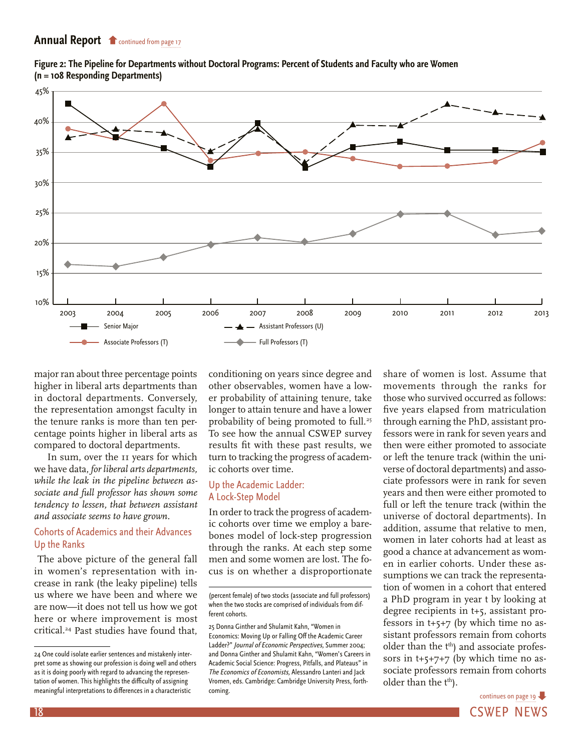<span id="page-17-0"></span>



major ran about three percentage points higher in liberal arts departments than in doctoral departments. Conversely, the representation amongst faculty in the tenure ranks is more than ten percentage points higher in liberal arts as compared to doctoral departments.

In sum, over the 11 years for which we have data, *for liberal arts departments, while the leak in the pipeline between associate and full professor has shown some tendency to lessen, that between assistant and associate seems to have grown.* 

# Cohorts of Academics and their Advances Up the Ranks

 The above picture of the general fall in women's representation with increase in rank (the leaky pipeline) tells us where we have been and where we are now—it does not tell us how we got here or where improvement is most critical.24 Past studies have found that,

conditioning on years since degree and other observables, women have a lower probability of attaining tenure, take longer to attain tenure and have a lower probability of being promoted to full.<sup>25</sup> To see how the annual CSWEP survey results fit with these past results, we turn to tracking the progress of academic cohorts over time.

### Up the Academic Ladder: A Lock-Step Model

In order to track the progress of academic cohorts over time we employ a barebones model of lock-step progression through the ranks. At each step some men and some women are lost. The focus is on whether a disproportionate share of women is lost. Assume that movements through the ranks for those who survived occurred as follows: five years elapsed from matriculation through earning the PhD, assistant professors were in rank for seven years and then were either promoted to associate or left the tenure track (within the universe of doctoral departments) and associate professors were in rank for seven years and then were either promoted to full or left the tenure track (within the universe of doctoral departments). In addition, assume that relative to men, women in later cohorts had at least as good a chance at advancement as women in earlier cohorts. Under these assumptions we can track the representation of women in a cohort that entered a PhD program in year t by looking at degree recipients in t+5, assistant professors in t+5+7 (by which time no assistant professors remain from cohorts older than the t<sup>th</sup>) and associate professors in  $t+5+7+7$  (by which time no associate professors remain from cohorts older than the t<sup>th</sup>).

18 CSWEP NEWS [continues on page 19](#page-18-0)

<sup>24</sup> One could isolate earlier sentences and mistakenly interpret some as showing our profession is doing well and others as it is doing poorly with regard to advancing the representation of women. This highlights the difficulty of assigning meaningful interpretations to differences in a characteristic

<sup>(</sup>percent female) of two stocks (associate and full professors) when the two stocks are comprised of individuals from different cohorts.

<sup>25</sup> Donna Ginther and Shulamit Kahn, "Women in Economics: Moving Up or Falling Off the Academic Career Ladder?" Journal of Economic Perspectives, Summer 2004; and Donna Ginther and Shulamit Kahn, "Women's Careers in Academic Social Science: Progress, Pitfalls, and Plateaus" in The Economics of Economists, Alessandro Lanteri and Jack Vromen, eds. Cambridge: Cambridge University Press, forthcoming.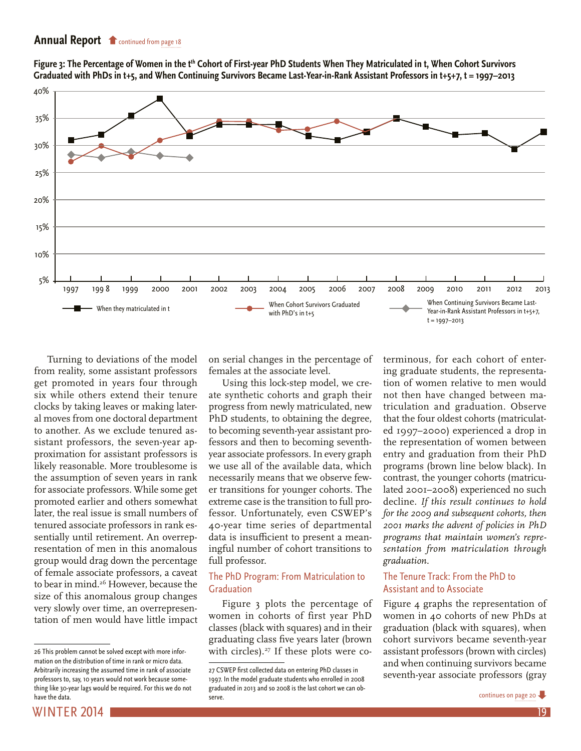<span id="page-18-0"></span>Figure 3: The Percentage of Women in the t<sup>th</sup> Cohort of First-year PhD Students When They Matriculated in t, When Cohort Survivors **Graduated with PhDs in t+5, and When Continuing Survivors Became Last-Year-in-Rank Assistant Professors in t+5+7, t = 1997–2013**



Turning to deviations of the model from reality, some assistant professors get promoted in years four through six while others extend their tenure clocks by taking leaves or making lateral moves from one doctoral department to another. As we exclude tenured assistant professors, the seven-year approximation for assistant professors is likely reasonable. More troublesome is the assumption of seven years in rank for associate professors. While some get promoted earlier and others somewhat later, the real issue is small numbers of tenured associate professors in rank essentially until retirement. An overrepresentation of men in this anomalous group would drag down the percentage of female associate professors, a caveat to bear in mind.<sup>26</sup> However, because the size of this anomalous group changes very slowly over time, an overrepresentation of men would have little impact on serial changes in the percentage of females at the associate level.

Using this lock-step model, we create synthetic cohorts and graph their progress from newly matriculated, new PhD students, to obtaining the degree, to becoming seventh-year assistant professors and then to becoming seventhyear associate professors. In every graph we use all of the available data, which necessarily means that we observe fewer transitions for younger cohorts. The extreme case is the transition to full professor. Unfortunately, even CSWEP's 40-year time series of departmental data is insufficient to present a meaningful number of cohort transitions to full professor.

#### The PhD Program: From Matriculation to Graduation

Figure 3 plots the percentage of women in cohorts of first year PhD classes (black with squares) and in their graduating class five years later (brown with circles). $27$  If these plots were co-

terminous, for each cohort of entering graduate students, the representation of women relative to men would not then have changed between matriculation and graduation. Observe that the four oldest cohorts (matriculated 1997–2000) experienced a drop in the representation of women between entry and graduation from their PhD programs (brown line below black). In contrast, the younger cohorts (matriculated 2001–2008) experienced no such decline. *If this result continues to hold for the 2009 and subsequent cohorts, then 2001 marks the advent of policies in PhD programs that maintain women's representation from matriculation through graduation.*

#### The Tenure Track: From the PhD to Assistant and to Associate

Figure 4 graphs the representation of women in 40 cohorts of new PhDs at graduation (black with squares), when cohort survivors became seventh-year assistant professors (brown with circles) and when continuing survivors became seventh-year associate professors (gray



<sup>26</sup> This problem cannot be solved except with more information on the distribution of time in rank or micro data. Arbitrarily increasing the assumed time in rank of associate professors to, say, 10 years would not work because something like 30-year lags would be required. For this we do not have the data.

<sup>27</sup> CSWEP first collected data on entering PhD classes in 1997. In the model graduate students who enrolled in 2008 graduated in 2013 and so 2008 is the last cohort we can observe.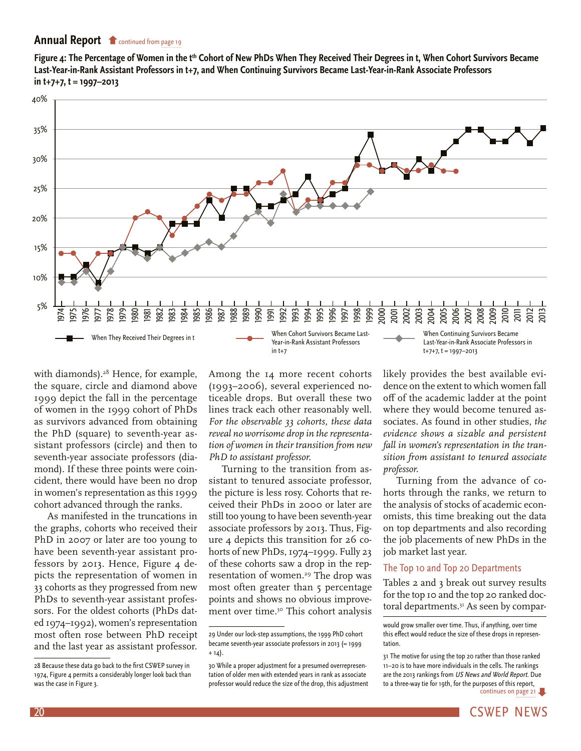<span id="page-19-0"></span>Figure 4: The Percentage of Women in the t<sup>th</sup> Cohort of New PhDs When They Received Their Degrees in t, When Cohort Survivors Became **Last-Year-in-Rank Assistant Professors in t+7, and When Continuing Survivors Became Last-Year-in-Rank Associate Professors in t+7+7, t = 1997–2013**



with diamonds).<sup>28</sup> Hence, for example, the square, circle and diamond above 1999 depict the fall in the percentage of women in the 1999 cohort of PhDs as survivors advanced from obtaining the PhD (square) to seventh-year assistant professors (circle) and then to seventh-year associate professors (diamond). If these three points were coincident, there would have been no drop in women's representation as this 1999 cohort advanced through the ranks.

As manifested in the truncations in the graphs, cohorts who received their PhD in 2007 or later are too young to have been seventh-year assistant professors by 2013. Hence, Figure 4 depicts the representation of women in 33 cohorts as they progressed from new PhDs to seventh-year assistant professors. For the oldest cohorts (PhDs dated 1974–1992), women's representation most often rose between PhD receipt and the last year as assistant professor.

Among the 14 more recent cohorts (1993–2006), several experienced noticeable drops. But overall these two lines track each other reasonably well. *For the observable 33 cohorts, these data reveal no worrisome drop in the representation of women in their transition from new PhD to assistant professor.* 

Turning to the transition from assistant to tenured associate professor, the picture is less rosy. Cohorts that received their PhDs in 2000 or later are still too young to have been seventh-year associate professors by 2013. Thus, Figure 4 depicts this transition for 26 cohorts of new PhDs, 1974–1999. Fully 23 of these cohorts saw a drop in the representation of women.<sup>29</sup> The drop was most often greater than 5 percentage points and shows no obvious improvement over time.<sup>30</sup> This cohort analysis likely provides the best available evidence on the extent to which women fall off of the academic ladder at the point where they would become tenured associates. As found in other studies, *the evidence shows a sizable and persistent fall in women's representation in the tran-*

*professor.*  Turning from the advance of cohorts through the ranks, we return to the analysis of stocks of academic economists, this time breaking out the data on top departments and also recording the job placements of new PhDs in the job market last year.

*sition from assistant to tenured associate* 

#### The Top 10 and Top 20 Departments

Tables 2 and 3 break out survey results for the top 10 and the top 20 ranked doctoral departments.<sup>31</sup> As seen by compar-

<sup>28</sup> Because these data go back to the first CSWEP survey in 1974, Figure 4 permits a considerably longer look back than was the case in Figure 3.

<sup>29</sup> Under our lock-step assumptions, the 1999 PhD cohort became seventh-year associate professors in 2013 (= 1999  $+ 14$ ).

<sup>30</sup> While a proper adjustment for a presumed overrepresentation of older men with extended years in rank as associate professor would reduce the size of the drop, this adjustment

would grow smaller over time. Thus, if anything, over time this effect would reduce the size of these drops in representation.

continues on [page 21](#page-20-0) 31 The motive for using the top 20 rather than those ranked 11–20 is to have more individuals in the cells. The rankings are the 2013 rankings from US News and World Report. Due [to a three-way tie for 19th, for the purposes of this report,](#page-20-0)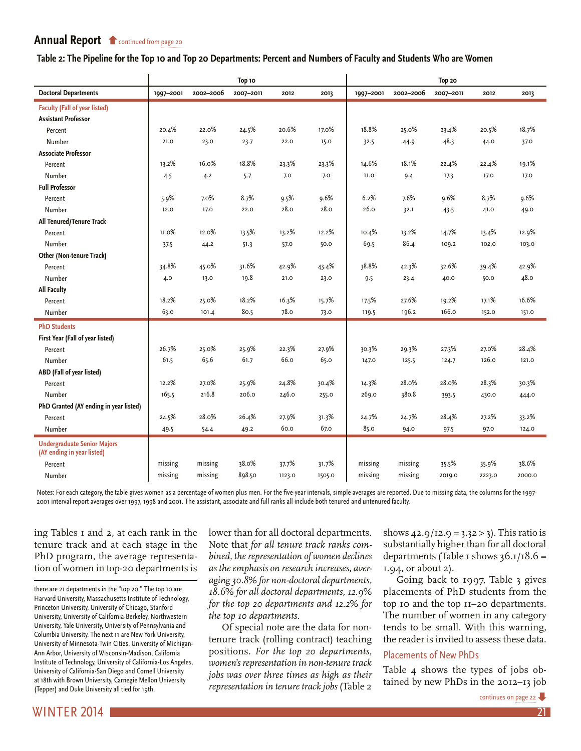#### <span id="page-20-0"></span>**[Table 2: The Pipeline for the Top 10 and Top 2](#page-19-0)0 Departments: Percent and Numbers of Faculty and Students Who are Women**

|                                                                  | Top 10    |           |           |        |        | Top 20    |           |           |        |        |
|------------------------------------------------------------------|-----------|-----------|-----------|--------|--------|-----------|-----------|-----------|--------|--------|
| <b>Doctoral Departments</b>                                      | 1997-2001 | 2002-2006 | 2007-2011 | 2012   | 2013   | 1997-2001 | 2002-2006 | 2007-2011 | 2012   | 2013   |
| <b>Faculty (Fall of year listed)</b>                             |           |           |           |        |        |           |           |           |        |        |
| <b>Assistant Professor</b>                                       |           |           |           |        |        |           |           |           |        |        |
| Percent                                                          | 20.4%     | 22.0%     | 24.5%     | 20.6%  | 17.0%  | 18.8%     | 25.0%     | 23.4%     | 20.5%  | 18.7%  |
| Number                                                           | 21.0      | 23.0      | 23.7      | 22.0   | 15.0   | 32.5      | 44.9      | 48.3      | 44.0   | 37.0   |
| <b>Associate Professor</b>                                       |           |           |           |        |        |           |           |           |        |        |
| Percent                                                          | 13.2%     | 16.0%     | 18.8%     | 23.3%  | 23.3%  | 14.6%     | 18.1%     | 22.4%     | 22.4%  | 19.1%  |
| Number                                                           | 4.5       | 4.2       | 5.7       | 7.0    | 7.0    | 11.0      | 9.4       | 17.3      | 17.0   | 17.0   |
| <b>Full Professor</b>                                            |           |           |           |        |        |           |           |           |        |        |
| Percent                                                          | 5.9%      | 7.0%      | 8.7%      | 9.5%   | 9.6%   | 6.2%      | 7.6%      | 9.6%      | 8.7%   | 9.6%   |
| Number                                                           | 12.0      | 17.0      | 22.0      | 28.0   | 28.0   | 26.0      | 32.1      | 43.5      | 41.0   | 49.0   |
| All Tenured/Tenure Track                                         |           |           |           |        |        |           |           |           |        |        |
| Percent                                                          | 11.0%     | 12.0%     | 13.5%     | 13.2%  | 12.2%  | 10.4%     | 13.2%     | 14.7%     | 13.4%  | 12.9%  |
| Number                                                           | 37.5      | 44.2      | 51.3      | 57.0   | 50.0   | 69.5      | 86.4      | 109.2     | 102.0  | 103.0  |
| Other (Non-tenure Track)                                         |           |           |           |        |        |           |           |           |        |        |
| Percent                                                          | 34.8%     | 45.0%     | 31.6%     | 42.9%  | 43.4%  | 38.8%     | 42.3%     | 32.6%     | 39.4%  | 42.9%  |
| Number                                                           | 4.0       | 13.0      | 19.8      | 21.0   | 23.0   | 9.5       | 23.4      | 40.0      | 50.0   | 48.0   |
| <b>All Faculty</b>                                               |           |           |           |        |        |           |           |           |        |        |
| Percent                                                          | 18.2%     | 25.0%     | 18.2%     | 16.3%  | 15.7%  | 17.5%     | 27.6%     | 19.2%     | 17.1%  | 16.6%  |
| Number                                                           | 63.0      | 101.4     | 80.5      | 78.0   | 73.0   | 119.5     | 196.2     | 166.0     | 152.0  | 151.0  |
| <b>PhD Students</b>                                              |           |           |           |        |        |           |           |           |        |        |
| First Year (Fall of year listed)                                 |           |           |           |        |        |           |           |           |        |        |
| Percent                                                          | 26.7%     | 25.0%     | 25.9%     | 22.3%  | 27.9%  | 30.3%     | 29.3%     | 27.3%     | 27.0%  | 28.4%  |
| Number                                                           | 61.5      | 65.6      | 61.7      | 66.0   | 65.0   | 147.0     | 125.5     | 124.7     | 126.0  | 121.0  |
| ABD (Fall of year listed)                                        |           |           |           |        |        |           |           |           |        |        |
| Percent                                                          | 12.2%     | 27.0%     | 25.9%     | 24.8%  | 30.4%  | 14.3%     | 28.0%     | 28.0%     | 28.3%  | 30.3%  |
| Number                                                           | 165.5     | 216.8     | 206.0     | 246.0  | 255.0  | 269.0     | 380.8     | 393.5     | 430.0  | 444.0  |
| PhD Granted (AY ending in year listed)                           |           |           |           |        |        |           |           |           |        |        |
| Percent                                                          | 24.5%     | 28.0%     | 26.4%     | 27.9%  | 31.3%  | 24.7%     | 24.7%     | 28.4%     | 27.2%  | 33.2%  |
| Number                                                           | 49.5      | 54.4      | 49.2      | 60.0   | 67.0   | 85.0      | 94.0      | 97.5      | 97.0   | 124.0  |
| <b>Undergraduate Senior Majors</b><br>(AY ending in year listed) |           |           |           |        |        |           |           |           |        |        |
| Percent                                                          | missing   | missing   | 38.0%     | 37.7%  | 31.7%  | missing   | missing   | 35.5%     | 35.9%  | 38.6%  |
| Number                                                           | missing   | missing   | 898.50    | 1123.0 | 1505.0 | missing   | missing   | 2019.0    | 2223.0 | 2000.0 |

Notes: For each category, the table gives women as a percentage of women plus men. For the five-year intervals, simple averages are reported. Due to missing data, the columns for the 1997- 2001 interval report averages over 1997, 1998 and 2001. The assistant, associate and full ranks all include both tenured and untenured faculty.

ing Tables 1 and 2, at each rank in the tenure track and at each stage in the PhD program, the average representation of women in top-20 departments is

there are 21 departments in the "top 20." The top 10 are Harvard University, Massachusetts Institute of Technology, Princeton University, University of Chicago, Stanford University, University of California-Berkeley, Northwestern University, Yale University, University of Pennsylvania and Columbia University. The next 11 are New York University, University of Minnesota-Twin Cities, University of Michigan-Ann Arbor, University of Wisconsin-Madison, California Institute of Technology, University of California-Los Angeles, University of California-San Diego and Cornell University at 18th with Brown University, Carnegie Mellon University (Tepper) and Duke University all tied for 19th.

lower than for all doctoral departments. Note that *for all tenure track ranks combined, the representation of women declines as the emphasis on research increases, averaging 30.8% for non-doctoral departments, 18.6% for all doctoral departments, 12.9% for the top 20 departments and 12.2% for the top 10 departments.* 

Of special note are the data for nontenure track (rolling contract) teaching positions. *For the top 20 departments, women's representation in non-tenure track jobs was over three times as high as their representation in tenure track jobs* (Table 2

shows  $42.9/12.9 = 3.32 > 3$ . This ratio is substantially higher than for all doctoral departments (Table 1 shows  $36.1/18.6 =$ 1.94, or about 2).

Going back to 1997, Table 3 gives placements of PhD students from the top 10 and the top 11-20 departments. The number of women in any category tends to be small. With this warning, the reader is invited to assess these data.

#### Placements of New PhDs

Table 4 shows the types of jobs obtained by new PhDs in the 2012–13 job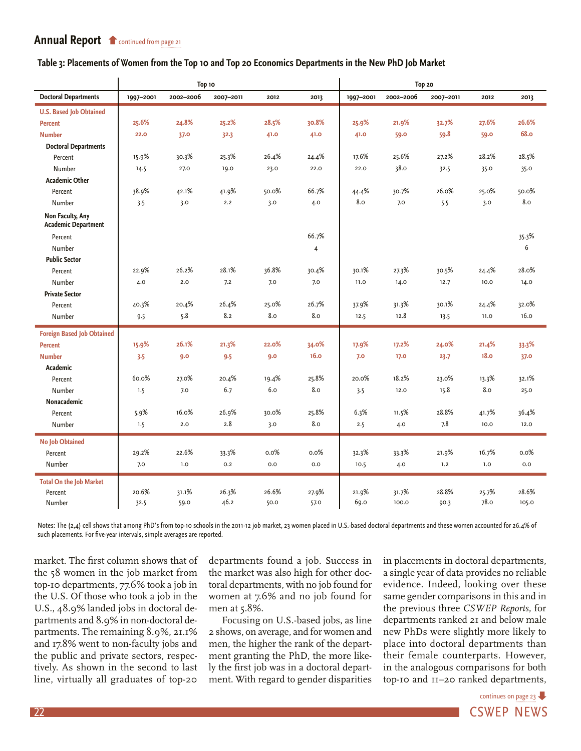#### <span id="page-21-0"></span>**[Table 3: Placements of Women from the Top](#page-20-0) 10 and Top 20 Economics Departments in the New PhD Job Market**

|                                                |           | Top 10    |           |       | Top 20         |           |           |           |       |             |
|------------------------------------------------|-----------|-----------|-----------|-------|----------------|-----------|-----------|-----------|-------|-------------|
| <b>Doctoral Departments</b>                    | 1997-2001 | 2002-2006 | 2007-2011 | 2012  | 2013           | 1997-2001 | 2002-2006 | 2007-2011 | 2012  | 2013        |
| <b>U.S. Based Job Obtained</b>                 |           |           |           |       |                |           |           |           |       |             |
| <b>Percent</b>                                 | 25.6%     | 24.8%     | 25.2%     | 28.5% | 30.8%          | 25.9%     | 21.9%     | 32.7%     | 27.6% | 26.6%       |
| <b>Number</b>                                  | 22.0      | 37.0      | 32.3      | 41.0  | 41.0           | 41.0      | 59.0      | 59.8      | 59.0  | <b>68.0</b> |
| <b>Doctoral Departments</b>                    |           |           |           |       |                |           |           |           |       |             |
| Percent                                        | 15.9%     | 30.3%     | 25.3%     | 26.4% | 24.4%          | 17.6%     | 25.6%     | 27.2%     | 28.2% | 28.5%       |
| Number                                         | 14.5      | 27.0      | 19.0      | 23.0  | 22.0           | 22.0      | 38.0      | 32.5      | 35.0  | 35.0        |
| <b>Academic Other</b>                          |           |           |           |       |                |           |           |           |       |             |
| Percent                                        | 38.9%     | 42.1%     | 41.9%     | 50.0% | 66.7%          | 44.4%     | 30.7%     | 26.0%     | 25.0% | 50.0%       |
| Number                                         | 3.5       | 3.0       | 2.2       | 3.0   | 4.0            | 8.0       | 7.0       | 5.5       | 3.0   | 8.0         |
| Non Faculty, Any<br><b>Academic Department</b> |           |           |           |       |                |           |           |           |       |             |
| Percent                                        |           |           |           |       | 66.7%          |           |           |           |       | 35.3%       |
| Number                                         |           |           |           |       | $\overline{4}$ |           |           |           |       | 6           |
| <b>Public Sector</b>                           |           |           |           |       |                |           |           |           |       |             |
| Percent                                        | 22.9%     | 26.2%     | 28.1%     | 36.8% | 30.4%          | 30.1%     | 27.3%     | 30.5%     | 24.4% | 28.0%       |
| Number                                         | 4.0       | 2.0       | 7.2       | 7.0   | 7.0            | 11.0      | 14.0      | 12.7      | 10.0  | 14.0        |
| <b>Private Sector</b>                          |           |           |           |       |                |           |           |           |       |             |
| Percent                                        | 40.3%     | 20.4%     | 26.4%     | 25.0% | 26.7%          | 37.9%     | 31.3%     | 30.1%     | 24.4% | 32.0%       |
| Number                                         | 9.5       | 5.8       | 8.2       | 8.0   | 8.0            | 12.5      | 12.8      | 13.5      | 11.0  | 16.0        |
| <b>Foreign Based Job Obtained</b>              |           |           |           |       |                |           |           |           |       |             |
| <b>Percent</b>                                 | 15.9%     | 26.1%     | 21.3%     | 22.0% | 34.0%          | 17.9%     | 17.2%     | 24.0%     | 21.4% | 33.3%       |
| <b>Number</b>                                  | 3.5       | 9.0       | 9.5       | 9.0   | 16.0           | 7.0       | 17.0      | 23.7      | 18.0  | 37.0        |
| Academic                                       |           |           |           |       |                |           |           |           |       |             |
| Percent                                        | 60.0%     | 27.0%     | 20.4%     | 19.4% | 25.8%          | 20.0%     | 18.2%     | 23.0%     | 13.3% | 32.1%       |
| Number                                         | 1.5       | 7.0       | 6.7       | 6.0   | 8.0            | 3.5       | 12.0      | 15.8      | 8.0   | 25.0        |
| Nonacademic                                    |           |           |           |       |                |           |           |           |       |             |
| Percent                                        | 5.9%      | 16.0%     | 26.9%     | 30.0% | 25.8%          | 6.3%      | 11.5%     | 28.8%     | 41.7% | 36.4%       |
| Number                                         | 1.5       | 2.0       | 2.8       | 3.0   | 8.0            | 2.5       | 4.0       | 7.8       | 10.0  | 12.0        |
| <b>No Job Obtained</b>                         |           |           |           |       |                |           |           |           |       |             |
| Percent                                        | 29.2%     | 22.6%     | 33.3%     | 0.0%  | 0.0%           | 32.3%     | 33.3%     | 21.9%     | 16.7% | 0.0%        |
| Number                                         | 7.0       | 1.0       | 0.2       | 0.0   | 0.0            | 10.5      | 4.0       | 1.2       | 1.0   | 0.0         |
| <b>Total On the Job Market</b>                 |           |           |           |       |                |           |           |           |       |             |
| Percent                                        | 20.6%     | 31.1%     | 26.3%     | 26.6% | 27.9%          | 21.9%     | 31.7%     | 28.8%     | 25.7% | 28.6%       |
| Number                                         | 32.5      | 59.0      | 46.2      | 50.0  | 57.0           | 69.0      | 100.0     | 90.3      | 78.0  | 105.0       |

Notes: The (2,4) cell shows that among PhD's from top-10 schools in the 2011-12 job market, 23 women placed in U.S.-based doctoral departments and these women accounted for 26.4% of such placements. For five-year intervals, simple averages are reported.

market. The first column shows that of the 58 women in the job market from top-10 departments, 77.6% took a job in the U.S. Of those who took a job in the U.S., 48.9% landed jobs in doctoral departments and 8.9% in non-doctoral departments. The remaining 8.9%, 21.1% and 17.8% went to non-faculty jobs and the public and private sectors, respectively. As shown in the second to last line, virtually all graduates of top-20

departments found a job. Success in the market was also high for other doctoral departments, with no job found for women at 7.6% and no job found for men at 5.8%.

Focusing on U.S.-based jobs, as line 2 shows, on average, and for women and men, the higher the rank of the department granting the PhD, the more likely the first job was in a doctoral department. With regard to gender disparities in placements in doctoral departments, a single year of data provides no reliable evidence. Indeed, looking over these same gender comparisons in this and in the previous three *CSWEP Reports,* for departments ranked 21 and below male new PhDs were slightly more likely to place into doctoral departments than their female counterparts. However, in the analogous comparisons for both top-10 and 11–20 ranked departments,

22 **CSWEP NEWS** [continues on page 23](#page-22-0)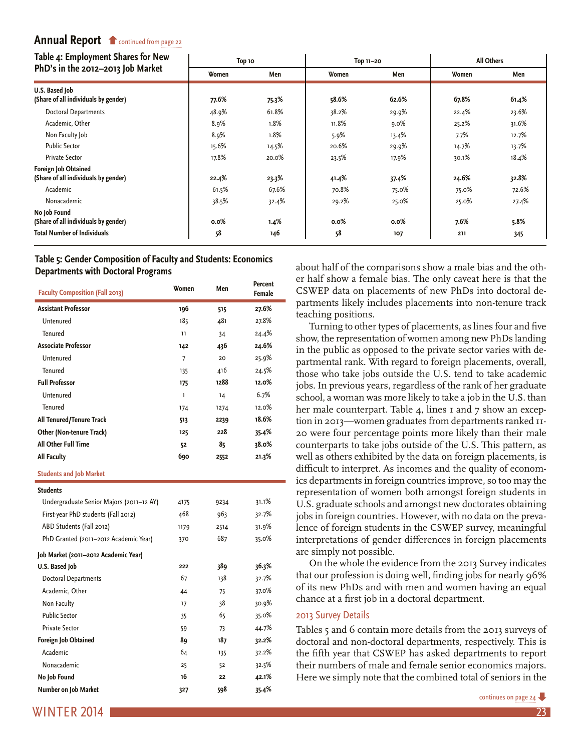<span id="page-22-0"></span>

| Top 10 |       |                |       | All Others         |       |  |
|--------|-------|----------------|-------|--------------------|-------|--|
| Women  | Men   | Women          | Men   | Women              | Men   |  |
| 77.6%  |       | 58.6%          | 62.6% | 67.8%              | 61.4% |  |
| 48.9%  | 61.8% | 38.2%          | 29.9% | 22.4%              | 23.6% |  |
| 8.9%   | 1.8%  | 11.8%          | 9.0%  | 25.2%              | 31.6% |  |
| 8.9%   | 1.8%  | 5.9%           | 13.4% | 7.7%               | 12.7% |  |
| 15.6%  | 14.5% | 20.6%          | 29.9% | 14.7%              | 13.7% |  |
| 17.8%  | 20.0% | 23.5%          | 17.9% | 30.1%              | 18.4% |  |
|        |       |                |       |                    |       |  |
|        |       |                |       |                    | 32.8% |  |
| 61.5%  | 67.6% | 70.8%          | 75.0% | 75.0%              | 72.6% |  |
| 38.5%  | 32.4% | 29.2%          | 25.0% | 25.0%              | 27.4% |  |
|        |       |                |       |                    |       |  |
| 0.0%   | 1.4%  | 0.0%           | 0.0%  | 7.6%               | 5.8%  |  |
| 58     | 146   | 58             | 107   | 211                | 345   |  |
|        | 22.4% | 75.3%<br>23.3% | 41.4% | Top 11-20<br>37.4% | 24.6% |  |

#### **[Table 5: Gender Composition of Faculty and Students: Economics](#page-21-0)  Departments with Doctoral Programs**

| <b>Faculty Composition (Fall 2013)</b>   | Women        | Men  | Percent<br>Female |
|------------------------------------------|--------------|------|-------------------|
| <b>Assistant Professor</b>               | 196          | 515  | 27.6%             |
| Untenured                                | 185          | 481  | 27.8%             |
| Tenured                                  | 11           | 34   | 24.4%             |
| <b>Associate Professor</b>               | 142          | 436  | 24.6%             |
| Untenured                                | 7            | 20   | 25.9%             |
| Tenured                                  | 135          | 416  | 24.5%             |
| <b>Full Professor</b>                    | 175          | 1288 | 12.0%             |
| Untenured                                | $\mathbf{I}$ | 14   | 6.7%              |
| Tenured                                  | 174          | 1274 | 12.0%             |
| All Tenured/Tenure Track                 | 513          | 2239 | 18.6%             |
| <b>Other (Non-tenure Track)</b>          | 125          | 228  | 35.4%             |
| <b>All Other Full Time</b>               | 52           | 85   | 38.0%             |
| <b>All Faculty</b>                       | 690          | 2552 | 21.3%             |
| <b>Students and Job Market</b>           |              |      |                   |
| <b>Students</b>                          |              |      |                   |
| Undergraduate Senior Majors (2011-12 AY) | 4175         | 9234 | 31.1%             |
| First-year PhD students (Fall 2012)      | 468          | 963  | 32.7%             |
| ABD Students (Fall 2012)                 | 1179         | 2514 | 31.9%             |
| PhD Granted (2011-2012 Academic Year)    | 370          | 687  | 35.0%             |
| Job Market (2011-2012 Academic Year)     |              |      |                   |
| U.S. Based Job                           | 222          | 389  | 36.3%             |
| <b>Doctoral Departments</b>              | 67           | 138  | 32.7%             |
| Academic, Other                          | 44           | 75   | 37.0%             |
| Non Faculty                              | 17           | 38   | 30.9%             |
| <b>Public Sector</b>                     | 35           | 65   | 35.0%             |
| <b>Private Sector</b>                    | 59           | 73   | 44.7%             |
| Foreign Job Obtained                     | 89           | 187  | 32.2%             |
| Academic                                 | 64           | 135  | 32.2%             |
| Nonacademic                              | 25           | 52   | 32.5%             |
| No Job Found                             | 16           | 22   | 42.1%             |
| Number on Job Market                     | 327          | 598  | 35.4%             |

about half of the comparisons show a male bias and the other half show a female bias. The only caveat here is that the CSWEP data on placements of new PhDs into doctoral departments likely includes placements into non-tenure track teaching positions.

Turning to other types of placements, as lines four and five show, the representation of women among new PhDs landing in the public as opposed to the private sector varies with departmental rank. With regard to foreign placements, overall, those who take jobs outside the U.S. tend to take academic jobs. In previous years, regardless of the rank of her graduate school, a woman was more likely to take a job in the U.S. than her male counterpart. Table 4, lines I and 7 show an exception in 2013—women graduates from departments ranked 11- 20 were four percentage points more likely than their male counterparts to take jobs outside of the U.S. This pattern, as well as others exhibited by the data on foreign placements, is difficult to interpret. As incomes and the quality of economics departments in foreign countries improve, so too may the representation of women both amongst foreign students in U.S. graduate schools and amongst new doctorates obtaining jobs in foreign countries. However, with no data on the prevalence of foreign students in the CSWEP survey, meaningful interpretations of gender differences in foreign placements are simply not possible.

On the whole the evidence from the 2013 Survey indicates that our profession is doing well, finding jobs for nearly 96% of its new PhDs and with men and women having an equal chance at a first job in a doctoral department.

#### 2013 Survey Details

Tables 5 and 6 contain more details from the 2013 surveys of doctoral and non-doctoral departments, respectively. This is the fifth year that CSWEP has asked departments to report their numbers of male and female senior economics majors. Here we simply note that the combined total of seniors in the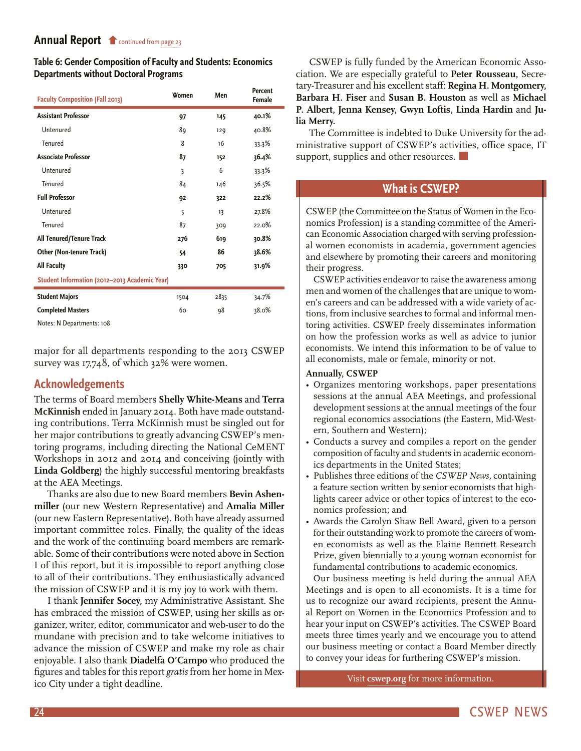<span id="page-23-0"></span>**[Table 6: Gender Composition of Faculty and S](#page-22-0)tudents: Economics Departments without Doctoral Programs**

| <b>Faculty Composition (Fall 2013)</b>        | Women | Men  | Percent<br>Female |
|-----------------------------------------------|-------|------|-------------------|
| <b>Assistant Professor</b>                    | 97    | 145  | 40.1%             |
| Untenured                                     | 89    | 129  | 40.8%             |
| <b>Tenured</b>                                | 8     | 16   | 33.3%             |
| <b>Associate Professor</b>                    | 87    | 152  | 36.4%             |
| Untenured                                     | 3     | 6    | 33.3%             |
| Tenured                                       | 84    | 146  | 36.5%             |
| <b>Full Professor</b>                         | 92    | 322  | 22.2%             |
| Untenured                                     | 5     | 13   | 27.8%             |
| Tenured                                       | 87    | 309  | 22.0%             |
| All Tenured/Tenure Track                      | 276   | 619  | 30.8%             |
| <b>Other (Non-tenure Track)</b>               | 54    | 86   | 38.6%             |
| <b>All Faculty</b>                            | 330   | 705  | 31.9%             |
| Student Information (2012-2013 Academic Year) |       |      |                   |
| <b>Student Majors</b>                         | 1504  | 2835 | 34.7%             |
| <b>Completed Masters</b>                      | 60    | 98   | 38.0%             |
| .                                             |       |      |                   |

Notes: N Departments: 108

major for all departments responding to the 2013 CSWEP survey was 17,748, of which 32% were women.

# **Acknowledgements**

The terms of Board members **Shelly White-Means** and **Terra McKinnish** ended in January 2014. Both have made outstanding contributions. Terra McKinnish must be singled out for her major contributions to greatly advancing CSWEP's mentoring programs, including directing the National CeMENT Workshops in 2012 and 2014 and conceiving (jointly with **Linda Goldberg**) the highly successful mentoring breakfasts at the AEA Meetings.

Thanks are also due to new Board members **Bevin Ashenmiller** (our new Western Representative) and **Amalia Miller**  (our new Eastern Representative). Both have already assumed important committee roles. Finally, the quality of the ideas and the work of the continuing board members are remarkable. Some of their contributions were noted above in Section I of this report, but it is impossible to report anything close to all of their contributions. They enthusiastically advanced the mission of CSWEP and it is my joy to work with them.

I thank **Jennifer Socey,** my Administrative Assistant. She has embraced the mission of CSWEP, using her skills as organizer, writer, editor, communicator and web-user to do the mundane with precision and to take welcome initiatives to advance the mission of CSWEP and make my role as chair enjoyable. I also thank **Diadelfa O'Campo** who produced the figures and tables for this report *gratis* from her home in Mexico City under a tight deadline.

CSWEP is fully funded by the American Economic Association. We are especially grateful to **Peter Rousseau,** Secretary-Treasurer and his excellent staff: **Regina H. Montgomery, Barbara H. Fiser** and **Susan B. Houston** as well as **Michael P. Albert, Jenna Kensey, Gwyn Loftis, Linda Hardin** and **Julia Merry.**

The Committee is indebted to Duke University for the administrative support of CSWEP's activities, office space, IT support, supplies and other resources.

# **What is CSWEP?**

CSWEP (the Committee on the Status of Women in the Economics Profession) is a standing committee of the American Economic Association charged with serving professional women economists in academia, government agencies and elsewhere by promoting their careers and monitoring their progress.

CSWEP activities endeavor to raise the awareness among men and women of the challenges that are unique to women's careers and can be addressed with a wide variety of actions, from inclusive searches to formal and informal mentoring activities. CSWEP freely disseminates information on how the profession works as well as advice to junior economists. We intend this information to be of value to all economists, male or female, minority or not.

#### **Annually, CSWEP**

- • Organizes mentoring workshops, paper presentations sessions at the annual AEA Meetings, and professional development sessions at the annual meetings of the four regional economics associations (the Eastern, Mid-Western, Southern and Western);
- Conducts a survey and compiles a report on the gender composition of faculty and students in academic economics departments in the United States;
- • Publishes three editions of the *CSWEP News,* containing a feature section written by senior economists that highlights career advice or other topics of interest to the economics profession; and
- Awards the Carolyn Shaw Bell Award, given to a person for their outstanding work to promote the careers of women economists as well as the Elaine Bennett Research Prize, given biennially to a young woman economist for fundamental contributions to academic economics.

Our business meeting is held during the annual AEA Meetings and is open to all economists. It is a time for us to recognize our award recipients, present the Annual Report on Women in the Economics Profession and to hear your input on CSWEP's activities. The CSWEP Board meets three times yearly and we encourage you to attend our business meeting or contact a Board Member directly to convey your ideas for furthering CSWEP's mission.

Visit **[cswep.org](http://www.aeaweb.org/committees/cswep/)** for more information.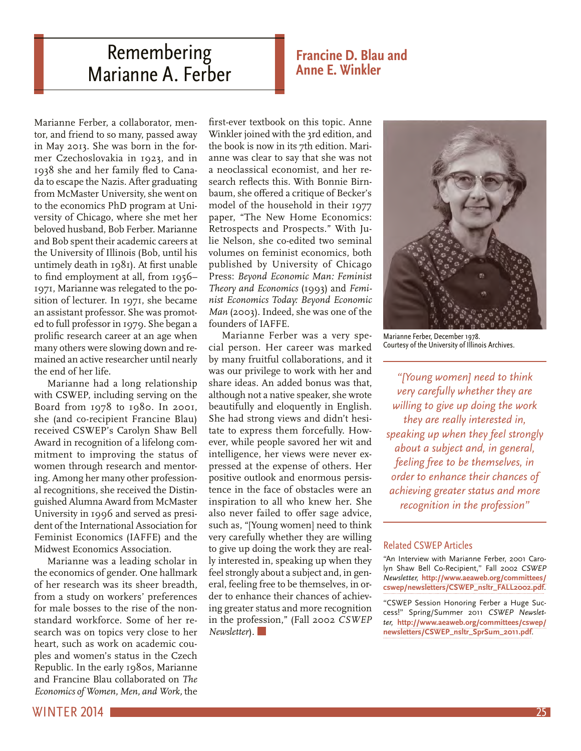# <span id="page-24-0"></span>Remembering Marianne A. Ferber

# **Francine D. Blau and Anne E. Winkler**

Marianne Ferber, a collaborator, mentor, and friend to so many, passed away in May 2013. She was born in the former Czechoslovakia in 1923, and in 1938 she and her family fled to Canada to escape the Nazis. After graduating from McMaster University, she went on to the economics PhD program at University of Chicago, where she met her beloved husband, Bob Ferber. Marianne and Bob spent their academic careers at the University of Illinois (Bob, until his untimely death in 1981). At first unable to find employment at all, from 1956– 1971, Marianne was relegated to the position of lecturer. In 1971, she became an assistant professor. She was promoted to full professor in 1979. She began a prolific research career at an age when many others were slowing down and remained an active researcher until nearly the end of her life.

Marianne had a long relationship with CSWEP, including serving on the Board from 1978 to 1980. In 2001, she (and co-recipient Francine Blau) received CSWEP's Carolyn Shaw Bell Award in recognition of a lifelong commitment to improving the status of women through research and mentoring. Among her many other professional recognitions, she received the Distinguished Alumna Award from McMaster University in 1996 and served as president of the International Association for Feminist Economics (IAFFE) and the Midwest Economics Association.

Marianne was a leading scholar in the economics of gender. One hallmark of her research was its sheer breadth, from a study on workers' preferences for male bosses to the rise of the nonstandard workforce. Some of her research was on topics very close to her heart, such as work on academic couples and women's status in the Czech Republic. In the early 1980s, Marianne and Francine Blau collaborated on *The Economics of Women, Men, and Work,* the

first-ever textbook on this topic. Anne Winkler joined with the 3rd edition, and the book is now in its 7th edition. Marianne was clear to say that she was not a neoclassical economist, and her research reflects this. With Bonnie Birnbaum, she offered a critique of Becker's model of the household in their 1977 paper, "The New Home Economics: Retrospects and Prospects." With Julie Nelson, she co-edited two seminal volumes on feminist economics, both published by University of Chicago Press: *Beyond Economic Man: Feminist Theory and Economics* (1993) and *Feminist Economics Today: Beyond Economic Man* (2003). Indeed, she was one of the founders of IAFFE.

Marianne Ferber was a very special person. Her career was marked by many fruitful collaborations, and it was our privilege to work with her and share ideas. An added bonus was that, although not a native speaker, she wrote beautifully and eloquently in English. She had strong views and didn't hesitate to express them forcefully. However, while people savored her wit and intelligence, her views were never expressed at the expense of others. Her positive outlook and enormous persistence in the face of obstacles were an inspiration to all who knew her. She also never failed to offer sage advice, such as, "[Young women] need to think very carefully whether they are willing to give up doing the work they are really interested in, speaking up when they feel strongly about a subject and, in general, feeling free to be themselves, in order to enhance their chances of achieving greater status and more recognition in the profession," (Fall 2002 *CSWEP Newsletter*).



Marianne Ferber, December 1978. Courtesy of the University of Illinois Archives.

*"[Young women] need to think very carefully whether they are willing to give up doing the work they are really interested in, speaking up when they feel strongly about a subject and, in general, feeling free to be themselves, in order to enhance their chances of achieving greater status and more recognition in the profession"*

#### Related CSWEP Articles

"An Interview with Marianne Ferber, 2001 Carolyn Shaw Bell Co-Recipient," Fall 2002 *CSWEP Newsletter,* **[http://www.aeaweb.org/committees/](http://www.aeaweb.org/committees/cswep/newsletters/CSWEP_nsltr_FALL2002.pdf) [cswep/newsletters/CSWEP\\_nsltr\\_FALL2002.pdf](http://www.aeaweb.org/committees/cswep/newsletters/CSWEP_nsltr_FALL2002.pdf)**.

"CSWEP Session Honoring Ferber a Huge Success!" Spring/Summer 2011 *CSWEP Newsletter,* **[http://www.aeaweb.org/committees/cswep/](http://www.aeaweb.org/committees/cswep/newsletters/CSWEP_nsltr_SprSum_2011.pdf) [newsletters/CSWEP\\_nsltr\\_SprSum\\_2011.pdf](http://www.aeaweb.org/committees/cswep/newsletters/CSWEP_nsltr_SprSum_2011.pdf)**.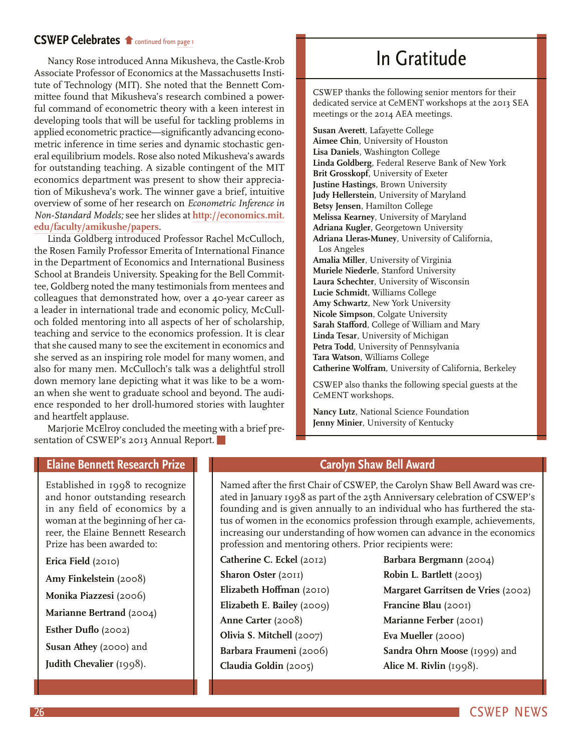# <span id="page-25-0"></span>**CSWEP Celebrates f** continued from [page 1](#page-0-0)

Nancy Rose introduced Anna Mikusheva, the Castle-Krob [Associate Professor of Economics at the Massachusetts](#page-0-0) Institute of Technology (MIT). She noted that the Bennett Committee found that Mikusheva's research combined a powerful command of econometric theory with a keen interest in developing tools that will be useful for tackling problems in applied econometric practice—significantly advancing econometric inference in time series and dynamic stochastic general equilibrium models. Rose also noted Mikusheva's awards for outstanding teaching. A sizable contingent of the MIT economics department was present to show their appreciation of Mikusheva's work. The winner gave a brief, intuitive overview of some of her research on *Econometric Inference in Non-Standard Models;* see her slides at **[http://economics.mit.](http://economics.mit.edu/faculty/amikushe/papers) [edu/faculty/amikushe/papers](http://economics.mit.edu/faculty/amikushe/papers)**.

Linda Goldberg introduced Professor Rachel McCulloch, the Rosen Family Professor Emerita of International Finance in the Department of Economics and International Business School at Brandeis University. Speaking for the Bell Committee, Goldberg noted the many testimonials from mentees and colleagues that demonstrated how, over a 40-year career as a leader in international trade and economic policy, McCulloch folded mentoring into all aspects of her of scholarship, teaching and service to the economics profession. It is clear that she caused many to see the excitement in economics and she served as an inspiring role model for many women, and also for many men. McCulloch's talk was a delightful stroll down memory lane depicting what it was like to be a woman when she went to graduate school and beyond. The audience responded to her droll-humored stories with laughter and heartfelt applause.

Marjorie McElroy concluded the meeting with a brief presentation of CSWEP's 2013 Annual Report.

# In Gratitude

CSWEP thanks the following senior mentors for their dedicated service at CeMENT workshops at the 2013 SEA meetings or the 2014 AEA meetings.

**Susan Averett**, Lafayette College **Aimee Chin**, University of Houston **Lisa Daniels**, Washington College **Linda Goldberg**, Federal Reserve Bank of New York **Brit Grosskopf**, University of Exeter **Justine Hastings**, Brown University **Judy Hellerstein**, University of Maryland **Betsy Jensen**, Hamilton College **Melissa Kearney**, University of Maryland **Adriana Kugler**, Georgetown University **Adriana Lleras-Muney**, University of California, Los Angeles **Amalia Miller**, University of Virginia **Muriele Niederle**, Stanford University **Laura Schechter**, University of Wisconsin **Lucie Schmidt**, Williams College **Amy Schwartz**, New York University **Nicole Simpson**, Colgate University **Sarah Stafford**, College of William and Mary **Linda Tesar**, University of Michigan **Petra Todd**, University of Pennsylvania **Tara Watson**, Williams College **Catherine Wolfram**, University of California, Berkeley

CSWEP also thanks the following special guests at the CeMENT workshops.

**Nancy Lutz**, National Science Foundation **Jenny Minier**, University of Kentucky

# **Elaine Bennett Research Prize**

Established in 1998 to recognize and honor outstanding research in any field of economics by a woman at the beginning of her career, the Elaine Bennett Research Prize has been awarded to:

**Erica Field** (2010) **Amy Finkelstein** (2008) **Monika Piazzesi** (2006) **Marianne Bertrand** (2004) **Esther Duflo** (2002) **Susan Athey** (2000) and **Judith Chevalier** (1998).

# **Carolyn Shaw Bell Award**

Named after the first Chair of CSWEP, the Carolyn Shaw Bell Award was created in January 1998 as part of the 25th Anniversary celebration of CSWEP's founding and is given annually to an individual who has furthered the status of women in the economics profession through example, achievements, increasing our understanding of how women can advance in the economics profession and mentoring others. Prior recipients were:

- **Catherine C. Eckel** (2012) **Sharon Oster** (2011) **Elizabeth Hoffman** (2010) **Elizabeth E. Bailey** (2009) **Anne Carter** (2008) **Olivia S. Mitchell** (2007) **Barbara Fraumeni** (2006) **Claudia Goldin** (2005)
- **Barbara Bergmann** (2004) **Robin L. Bartlett** (2003) **Margaret Garritsen de Vries** (2002) **Francine Blau** (2001) **Marianne Ferber** (2001) **Eva Mueller** (2000) **Sandra Ohrn Moose** (1999) and **Alice M. Rivlin** (1998).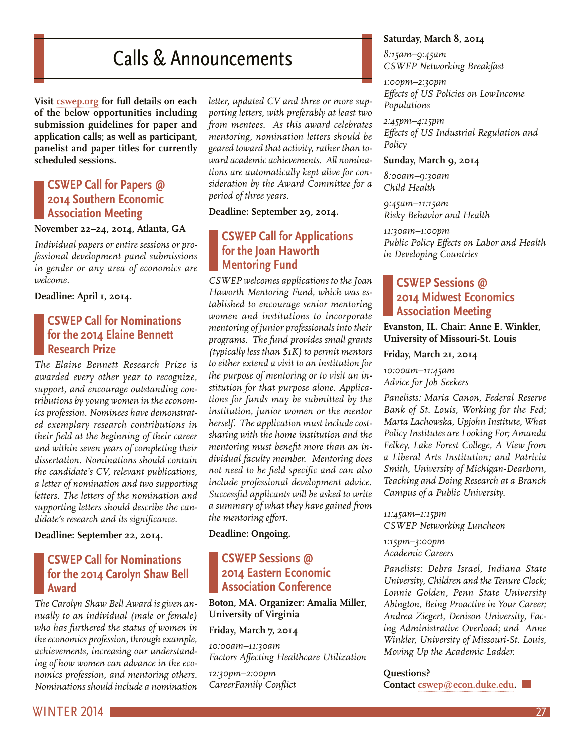# Calls & Announcements

<span id="page-26-0"></span>**Visit [cswep.org](http://www.aeaweb.org/committees/cswep/) for full details on each of the below opportunities including submission guidelines for paper and application calls; as well as participant, panelist and paper titles for currently scheduled sessions.**

# **CSWEP Call for Papers @ 2014 Southern Economic Association Meeting**

### **November 22–24, 2014, Atlanta, GA**

*Individual papers or entire sessions or professional development panel submissions in gender or any area of economics are welcome.* 

**Deadline: April 1, 2014.**

# **CSWEP Call for Nominations for the 2014 Elaine Bennett Research Prize**

*The Elaine Bennett Research Prize is awarded every other year to recognize, support, and encourage outstanding contributions by young women in the economics profession. Nominees have demonstrated exemplary research contributions in their field at the beginning of their career and within seven years of completing their dissertation. Nominations should contain the candidate's CV, relevant publications, a letter of nomination and two supporting letters. The letters of the nomination and supporting letters should describe the candidate's research and its significance.*

**Deadline: September 22, 2014.** 

# **CSWEP Call for Nominations for the 2014 Carolyn Shaw Bell Award**

*The Carolyn Shaw Bell Award is given annually to an individual (male or female) who has furthered the status of women in the economics profession, through example, achievements, increasing our understanding of how women can advance in the economics profession, and mentoring others. Nominations should include a nomination* 

*letter, updated CV and three or more supporting letters, with preferably at least two from mentees. As this award celebrates mentoring, nomination letters should be geared toward that activity, rather than toward academic achievements. All nominations are automatically kept alive for consideration by the Award Committee for a period of three years.* 

**Deadline: September 29, 2014.** 

# **CSWEP Call for Applications for the Joan Haworth Mentoring Fund**

*CSWEP welcomes applications to the Joan Haworth Mentoring Fund, which was established to encourage senior mentoring women and institutions to incorporate mentoring of junior professionals into their programs. The fund provides small grants (typically less than \$1K) to permit mentors to either extend a visit to an institution for the purpose of mentoring or to visit an institution for that purpose alone. Applications for funds may be submitted by the institution, junior women or the mentor herself. The application must include costsharing with the home institution and the mentoring must benefit more than an individual faculty member. Mentoring does not need to be field specific and can also include professional development advice. Successful applicants will be asked to write a summary of what they have gained from the mentoring effort.*

**Deadline: Ongoing.** 

# **CSWEP Sessions @ 2014 Eastern Economic Association Conference**

**Boton, MA. Organizer: Amalia Miller, University of Virginia**

### **Friday, March 7, 2014**

*10:00am–11:30am Factors Affecting Healthcare Utilization*

*12:30pm–2:00pm CareerFamily Conflict*

### **Saturday, March 8, 2014**

*8:15am–9:45am CSWEP Networking Breakfast*

*1:00pm–2:30pm Effects of US Policies on LowIncome Populations*

*2:45pm–4:15pm Effects of US Industrial Regulation and Policy*

#### **Sunday, March 9, 2014**

*8:00am–9:30am Child Health*

*9:45am–11:15am Risky Behavior and Health*

*11:30am–1:00pm Public Policy Effects on Labor and Health in Developing Countries*

# **CSWEP Sessions @ 2014 Midwest Economics Association Meeting**

**Evanston, IL. Chair: Anne E. Winkler, University of Missouri-St. Louis**

**Friday, March 21, 2014**

*10:00am–11:45am Advice for Job Seekers*

*Panelists: Maria Canon, Federal Reserve Bank of St. Louis, Working for the Fed; Marta Lachowska, Upjohn Institute, What Policy Institutes are Looking For; Amanda Felkey, Lake Forest College, A View from a Liberal Arts Institution; and Patricia Smith, University of Michigan-Dearborn, Teaching and Doing Research at a Branch Campus of a Public University.*

*11:45am–1:15pm CSWEP Networking Luncheon*

*1:15pm–3:00pm Academic Careers*

*Panelists: Debra Israel, Indiana State University, Children and the Tenure Clock; Lonnie Golden, Penn State University Abington, Being Proactive in Your Career; Andrea Ziegert, Denison University, Facing Administrative Overload; and Anne Winkler, University of Missouri-St. Louis, Moving Up the Academic Ladder.*

#### **Questions?**

**Contact [cswep@econ.duke.edu](mailto:cswep%40econ.duke.edu?subject=).**